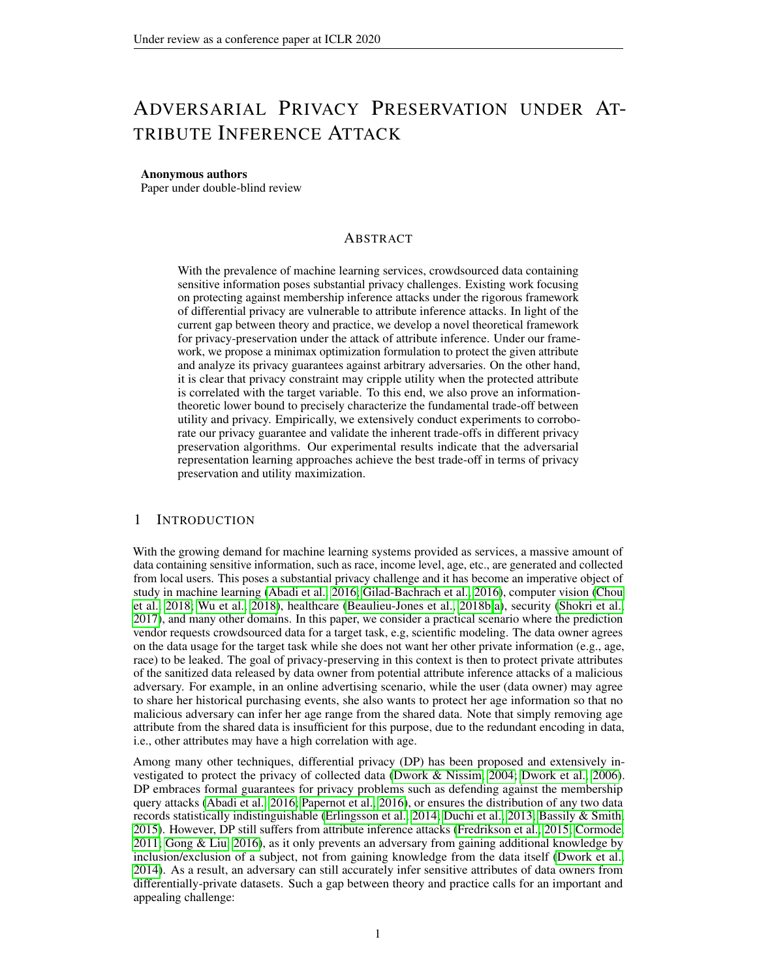# ADVERSARIAL PRIVACY PRESERVATION UNDER AT-TRIBUTE INFERENCE ATTACK

### Anonymous authors

Paper under double-blind review

# ABSTRACT

With the prevalence of machine learning services, crowdsourced data containing sensitive information poses substantial privacy challenges. Existing work focusing on protecting against membership inference attacks under the rigorous framework of differential privacy are vulnerable to attribute inference attacks. In light of the current gap between theory and practice, we develop a novel theoretical framework for privacy-preservation under the attack of attribute inference. Under our framework, we propose a minimax optimization formulation to protect the given attribute and analyze its privacy guarantees against arbitrary adversaries. On the other hand, it is clear that privacy constraint may cripple utility when the protected attribute is correlated with the target variable. To this end, we also prove an informationtheoretic lower bound to precisely characterize the fundamental trade-off between utility and privacy. Empirically, we extensively conduct experiments to corroborate our privacy guarantee and validate the inherent trade-offs in different privacy preservation algorithms. Our experimental results indicate that the adversarial representation learning approaches achieve the best trade-off in terms of privacy preservation and utility maximization.

# 1 INTRODUCTION

With the growing demand for machine learning systems provided as services, a massive amount of data containing sensitive information, such as race, income level, age, etc., are generated and collected from local users. This poses a substantial privacy challenge and it has become an imperative object of study in machine learning [\(Abadi et al., 2016;](#page-9-0) [Gilad-Bachrach et al., 2016\)](#page-10-0), computer vision [\(Chou](#page-9-1) [et al., 2018;](#page-9-1) [Wu et al., 2018\)](#page-10-1), healthcare [\(Beaulieu-Jones et al., 2018b](#page-9-2)[;a\)](#page-9-3), security [\(Shokri et al.,](#page-10-2) [2017\)](#page-10-2), and many other domains. In this paper, we consider a practical scenario where the prediction vendor requests crowdsourced data for a target task, e.g, scientific modeling. The data owner agrees on the data usage for the target task while she does not want her other private information (e.g., age, race) to be leaked. The goal of privacy-preserving in this context is then to protect private attributes of the sanitized data released by data owner from potential attribute inference attacks of a malicious adversary. For example, in an online advertising scenario, while the user (data owner) may agree to share her historical purchasing events, she also wants to protect her age information so that no malicious adversary can infer her age range from the shared data. Note that simply removing age attribute from the shared data is insufficient for this purpose, due to the redundant encoding in data, i.e., other attributes may have a high correlation with age.

Among many other techniques, differential privacy (DP) has been proposed and extensively investigated to protect the privacy of collected data [\(Dwork & Nissim, 2004;](#page-9-4) [Dwork et al., 2006\)](#page-9-5). DP embraces formal guarantees for privacy problems such as defending against the membership query attacks [\(Abadi et al., 2016;](#page-9-0) [Papernot et al., 2016\)](#page-10-3), or ensures the distribution of any two data records statistically indistinguishable [\(Erlingsson et al., 2014;](#page-9-6) [Duchi et al., 2013;](#page-9-7) [Bassily & Smith,](#page-9-8) [2015\)](#page-9-8). However, DP still suffers from attribute inference attacks [\(Fredrikson et al., 2015;](#page-9-9) [Cormode,](#page-9-10) [2011;](#page-9-10) [Gong & Liu, 2016\)](#page-10-4), as it only prevents an adversary from gaining additional knowledge by inclusion/exclusion of a subject, not from gaining knowledge from the data itself [\(Dwork et al.,](#page-9-11) [2014\)](#page-9-11). As a result, an adversary can still accurately infer sensitive attributes of data owners from differentially-private datasets. Such a gap between theory and practice calls for an important and appealing challenge: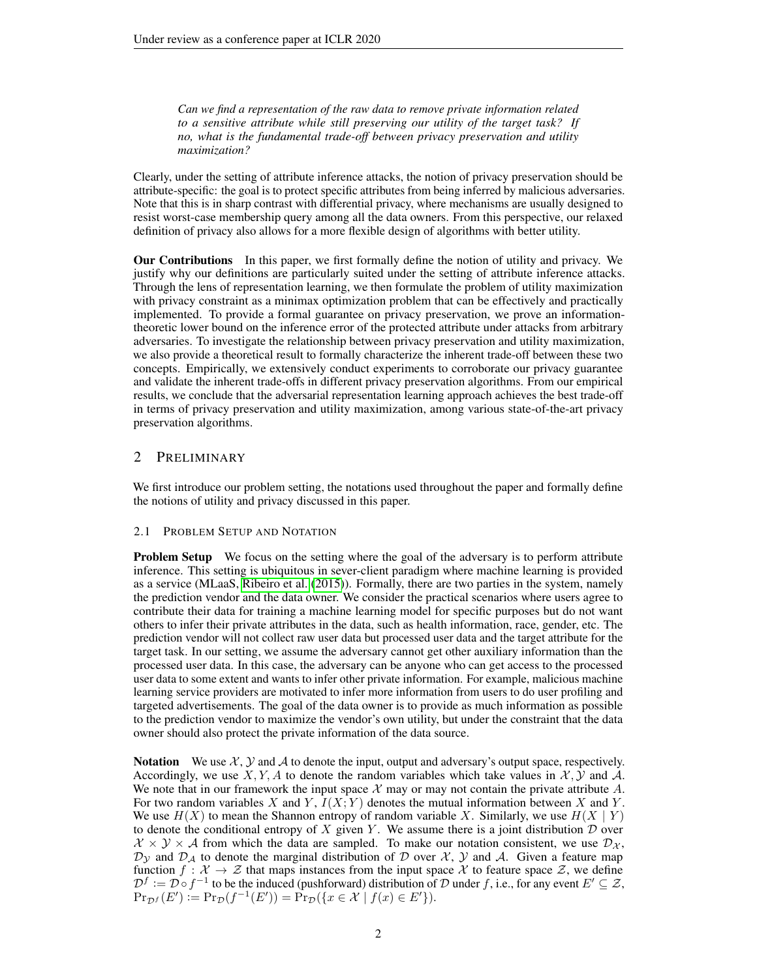*Can we find a representation of the raw data to remove private information related to a sensitive attribute while still preserving our utility of the target task? If no, what is the fundamental trade-off between privacy preservation and utility maximization?*

Clearly, under the setting of attribute inference attacks, the notion of privacy preservation should be attribute-specific: the goal is to protect specific attributes from being inferred by malicious adversaries. Note that this is in sharp contrast with differential privacy, where mechanisms are usually designed to resist worst-case membership query among all the data owners. From this perspective, our relaxed definition of privacy also allows for a more flexible design of algorithms with better utility.

Our Contributions In this paper, we first formally define the notion of utility and privacy. We justify why our definitions are particularly suited under the setting of attribute inference attacks. Through the lens of representation learning, we then formulate the problem of utility maximization with privacy constraint as a minimax optimization problem that can be effectively and practically implemented. To provide a formal guarantee on privacy preservation, we prove an informationtheoretic lower bound on the inference error of the protected attribute under attacks from arbitrary adversaries. To investigate the relationship between privacy preservation and utility maximization, we also provide a theoretical result to formally characterize the inherent trade-off between these two concepts. Empirically, we extensively conduct experiments to corroborate our privacy guarantee and validate the inherent trade-offs in different privacy preservation algorithms. From our empirical results, we conclude that the adversarial representation learning approach achieves the best trade-off in terms of privacy preservation and utility maximization, among various state-of-the-art privacy preservation algorithms.

# 2 PRELIMINARY

We first introduce our problem setting, the notations used throughout the paper and formally define the notions of utility and privacy discussed in this paper.

### 2.1 PROBLEM SETUP AND NOTATION

**Problem Setup** We focus on the setting where the goal of the adversary is to perform attribute inference. This setting is ubiquitous in sever-client paradigm where machine learning is provided as a service (MLaaS, [Ribeiro et al.](#page-10-5) [\(2015\)](#page-10-5)). Formally, there are two parties in the system, namely the prediction vendor and the data owner. We consider the practical scenarios where users agree to contribute their data for training a machine learning model for specific purposes but do not want others to infer their private attributes in the data, such as health information, race, gender, etc. The prediction vendor will not collect raw user data but processed user data and the target attribute for the target task. In our setting, we assume the adversary cannot get other auxiliary information than the processed user data. In this case, the adversary can be anyone who can get access to the processed user data to some extent and wants to infer other private information. For example, malicious machine learning service providers are motivated to infer more information from users to do user profiling and targeted advertisements. The goal of the data owner is to provide as much information as possible to the prediction vendor to maximize the vendor's own utility, but under the constraint that the data owner should also protect the private information of the data source.

**Notation** We use  $\mathcal{X}, \mathcal{Y}$  and  $\mathcal{A}$  to denote the input, output and adversary's output space, respectively. Accordingly, we use X, Y, A to denote the random variables which take values in  $\mathcal{X}, \mathcal{Y}$  and  $\mathcal{A}$ . We note that in our framework the input space  $\mathcal X$  may or may not contain the private attribute  $A$ . For two random variables X and Y,  $I(X; Y)$  denotes the mutual information between X and Y. We use  $H(X)$  to mean the Shannon entropy of random variable X. Similarly, we use  $H(X | Y)$ to denote the conditional entropy of X given Y. We assume there is a joint distribution  $D$  over  $\mathcal{X} \times \mathcal{Y} \times \mathcal{A}$  from which the data are sampled. To make our notation consistent, we use  $\mathcal{D}_{\mathcal{X}}$ ,  $\mathcal{D}_{\mathcal{Y}}$  and  $\mathcal{D}_{\mathcal{A}}$  to denote the marginal distribution of  $\mathcal D$  over  $\mathcal X$ ,  $\mathcal Y$  and  $\mathcal A$ . Given a feature map function  $f: \mathcal{X} \to \mathcal{Z}$  that maps instances from the input space X to feature space  $\mathcal{Z}$ , we define  $\mathcal{D}^f := \mathcal{D} \circ f^{-1}$  to be the induced (pushforward) distribution of  $\mathcal D$  under f, i.e., for any event  $E' \subseteq \mathcal Z$ ,  $\Pr_{\mathcal{D}^f}(E') := \Pr_{\mathcal{D}}(f^{-1}(E')) = \Pr_{\mathcal{D}}(\{x \in \mathcal{X} \mid f(x) \in E'\}).$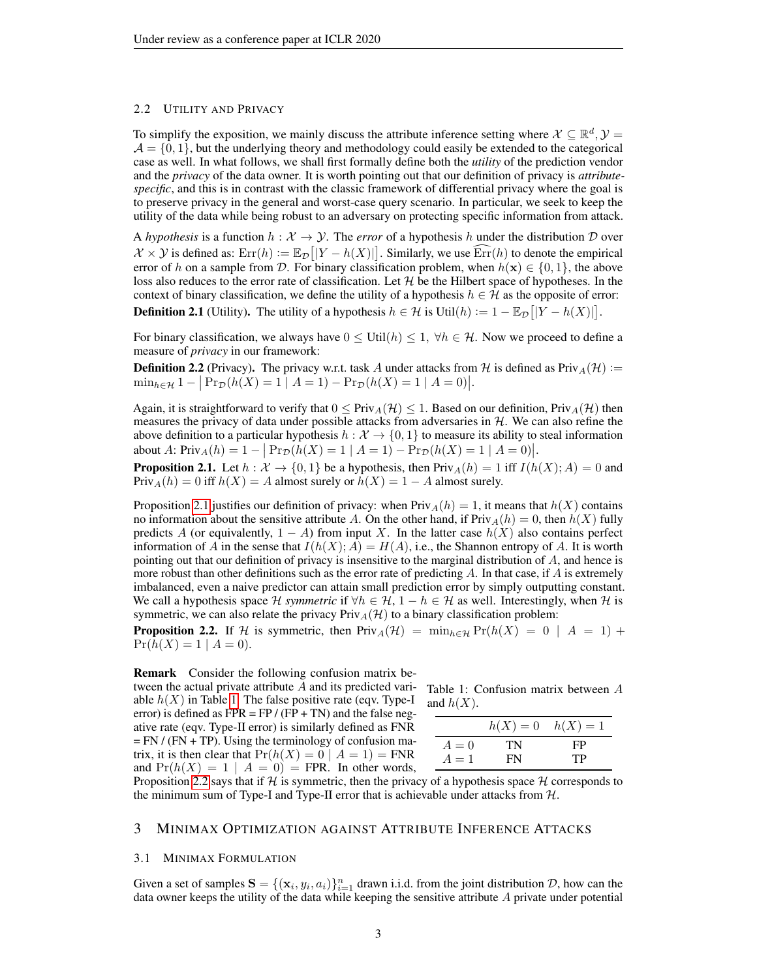### 2.2 UTILITY AND PRIVACY

To simplify the exposition, we mainly discuss the attribute inference setting where  $X \subseteq \mathbb{R}^d$ ,  $\mathcal{Y} =$  $\mathcal{A} = \{0, 1\}$ , but the underlying theory and methodology could easily be extended to the categorical case as well. In what follows, we shall first formally define both the *utility* of the prediction vendor and the *privacy* of the data owner. It is worth pointing out that our definition of privacy is *attributespecific*, and this is in contrast with the classic framework of differential privacy where the goal is to preserve privacy in the general and worst-case query scenario. In particular, we seek to keep the utility of the data while being robust to an adversary on protecting specific information from attack.

A *hypothesis* is a function  $h : \mathcal{X} \to \mathcal{Y}$ . The *error* of a hypothesis h under the distribution D over  $\mathcal{X} \times \mathcal{Y}$  is defined as:  $\text{Err}(h) := \mathbb{E}_{\mathcal{D}}[|Y - h(X)|]$ . Similarly, we use  $\widehat{\text{Err}}(h)$  to denote the empirical error of h on a sample from D. For binary classification problem, when  $h(\mathbf{x}) \in \{0,1\}$ , the above loss also reduces to the error rate of classification. Let  $H$  be the Hilbert space of hypotheses. In the context of binary classification, we define the utility of a hypothesis  $h \in \mathcal{H}$  as the opposite of error: **Definition 2.1** (Utility). The utility of a hypothesis  $h \in \mathcal{H}$  is Util $(h) := 1 - \mathbb{E}_{\mathcal{D}}[|Y - h(X)|].$ 

For binary classification, we always have  $0 \leq \text{Util}(h) \leq 1$ ,  $\forall h \in \mathcal{H}$ . Now we proceed to define a measure of *privacy* in our framework:

**Definition 2.2** (Privacy). The privacy w.r.t. task A under attacks from H is defined as Priv<sub>A</sub> $(H)$  :=  $\min_{h \in \mathcal{H}} 1 - |\Pr_{\mathcal{D}}(h(X) = 1 | A = 1) - \Pr_{\mathcal{D}}(h(X) = 1 | A = 0)|.$ 

Again, it is straightforward to verify that  $0 \leq \text{Priv}_A(\mathcal{H}) \leq 1$ . Based on our definition,  $\text{Priv}_A(\mathcal{H})$  then measures the privacy of data under possible attacks from adversaries in  $H$ . We can also refine the above definition to a particular hypothesis  $h : \mathcal{X} \to \{0, 1\}$  to measure its ability to steal information about A:  $\text{Priv}_A(h) = 1 - |\Pr_{\mathcal{D}}(h(X) = 1 | A = 1) - \Pr_{\mathcal{D}}(h(X) = 1 | A = 0)|$ .

<span id="page-2-0"></span>**Proposition 2.1.** Let  $h : \mathcal{X} \to \{0,1\}$  be a hypothesis, then  $Priv_A(h) = 1$  iff  $I(h(X); A) = 0$  and Priv<sub>A</sub> $(h) = 0$  iff  $h(X) = A$  almost surely or  $h(X) = 1 - A$  almost surely.

Proposition [2.1](#page-2-0) justifies our definition of privacy: when  $Priv_A(h) = 1$ , it means that  $h(X)$  contains no information about the sensitive attribute A. On the other hand, if  $\text{Priv}_A(h) = 0$ , then  $h(X)$  fully predicts A (or equivalently,  $1 - A$ ) from input X. In the latter case  $h(X)$  also contains perfect information of A in the sense that  $I(h(X); A) = H(A)$ , i.e., the Shannon entropy of A. It is worth pointing out that our definition of privacy is insensitive to the marginal distribution of A, and hence is more robust than other definitions such as the error rate of predicting A. In that case, if A is extremely imbalanced, even a naive predictor can attain small prediction error by simply outputting constant. We call a hypothesis space H *symmetric* if  $\forall h \in \mathcal{H}$ ,  $1 - h \in \mathcal{H}$  as well. Interestingly, when H is symmetric, we can also relate the privacy  $\text{Priv}_A(\mathcal{H})$  to a binary classification problem:

<span id="page-2-2"></span>**Proposition 2.2.** If H is symmetric, then  $\text{Priv}_A(\mathcal{H}) = \min_{h \in \mathcal{H}} \text{Pr}(h(X) = 0 | A = 1) +$  $Pr(h(X) = 1 | A = 0).$ 

Remark Consider the following confusion matrix between the actual private attribute A and its predicted variable  $h(X)$  in Table [1.](#page-2-1) The false positive rate (eqv. Type-I error) is defined as  $FPR = FP / (FP + TN)$  and the false negative rate (eqv. Type-II error) is similarly defined as FNR  $=$  FN / (FN + TP). Using the terminology of confusion matrix, it is then clear that  $Pr(h(X) = 0 | A = 1) = FNR$ and  $Pr(h(X) = 1 | A = 0) = FPR$ . In other words,

<span id="page-2-1"></span>

|              | Table 1: Confusion matrix between A |  |  |
|--------------|-------------------------------------|--|--|
| and $h(X)$ . |                                     |  |  |

|       | $h(X) = 0$ $h(X) = 1$ |     |
|-------|-----------------------|-----|
| $A=0$ | TN                    | FP. |
| $A=1$ | FN                    | TP  |

Proposition [2.2](#page-2-2) says that if H is symmetric, then the privacy of a hypothesis space H corresponds to the minimum sum of Type-I and Type-II error that is achievable under attacks from  $H$ .

## 3 MINIMAX OPTIMIZATION AGAINST ATTRIBUTE INFERENCE ATTACKS

### <span id="page-2-3"></span>3.1 MINIMAX FORMULATION

Given a set of samples  $S = \{ (x_i, y_i, a_i) \}_{i=1}^n$  drawn i.i.d. from the joint distribution D, how can the data owner keeps the utility of the data while keeping the sensitive attribute  $A$  private under potential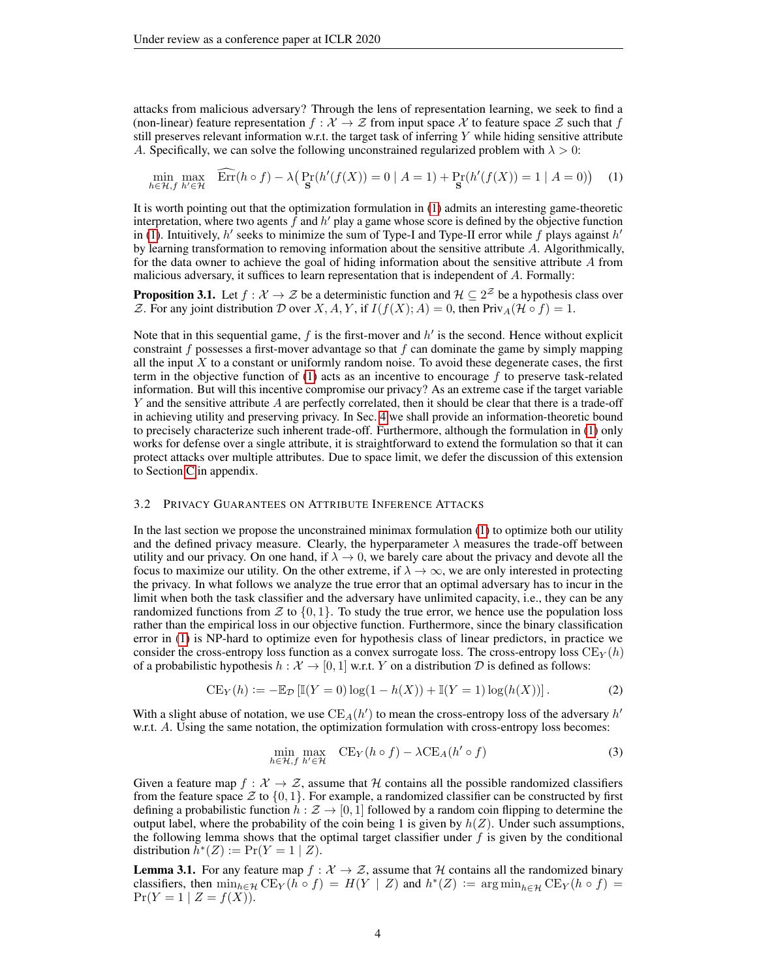attacks from malicious adversary? Through the lens of representation learning, we seek to find a (non-linear) feature representation  $f : \mathcal{X} \to \mathcal{Z}$  from input space X to feature space  $\mathcal{Z}$  such that f still preserves relevant information w.r.t. the target task of inferring  $Y$  while hiding sensitive attribute A. Specifically, we can solve the following unconstrained regularized problem with  $\lambda > 0$ :

<span id="page-3-0"></span>
$$
\min_{h \in \mathcal{H}, f} \max_{h' \in \mathcal{H}} \quad \widehat{\text{Err}}(h \circ f) - \lambda \big( \Pr_{\mathbf{S}}(h'(f(X))) = 0 \mid A = 1 \big) + \Pr_{\mathbf{S}}(h'(f(X)) = 1 \mid A = 0) \big) \tag{1}
$$

It is worth pointing out that the optimization formulation in [\(1\)](#page-3-0) admits an interesting game-theoretic interpretation, where two agents  $\hat{f}$  and  $h'$  play a game whose score is defined by the objective function in [\(1\)](#page-3-0). Intuitively,  $h'$  seeks to minimize the sum of Type-I and Type-II error while f plays against  $h'$ by learning transformation to removing information about the sensitive attribute A. Algorithmically, for the data owner to achieve the goal of hiding information about the sensitive attribute A from malicious adversary, it suffices to learn representation that is independent of A. Formally:

<span id="page-3-2"></span>**Proposition 3.1.** Let  $f : \mathcal{X} \to \mathcal{Z}$  be a deterministic function and  $\mathcal{H} \subseteq 2^{\mathcal{Z}}$  be a hypothesis class over Z. For any joint distribution D over X, A, Y, if  $I(f(X); A) = 0$ , then  $\text{Priv}_A(\mathcal{H} \circ f) = 1$ .

Note that in this sequential game,  $f$  is the first-mover and  $h'$  is the second. Hence without explicit constraint f possesses a first-mover advantage so that f can dominate the game by simply mapping all the input  $X$  to a constant or uniformly random noise. To avoid these degenerate cases, the first term in the objective function of  $(1)$  acts as an incentive to encourage f to preserve task-related information. But will this incentive compromise our privacy? As an extreme case if the target variable Y and the sensitive attribute A are perfectly correlated, then it should be clear that there is a trade-off in achieving utility and preserving privacy. In Sec. [4](#page-4-0) we shall provide an information-theoretic bound to precisely characterize such inherent trade-off. Furthermore, although the formulation in [\(1\)](#page-3-0) only works for defense over a single attribute, it is straightforward to extend the formulation so that it can protect attacks over multiple attributes. Due to space limit, we defer the discussion of this extension to Section [C](#page-15-0) in appendix.

#### 3.2 PRIVACY GUARANTEES ON ATTRIBUTE INFERENCE ATTACKS

In the last section we propose the unconstrained minimax formulation [\(1\)](#page-3-0) to optimize both our utility and the defined privacy measure. Clearly, the hyperparameter  $\lambda$  measures the trade-off between utility and our privacy. On one hand, if  $\lambda \to 0$ , we barely care about the privacy and devote all the focus to maximize our utility. On the other extreme, if  $\lambda \to \infty$ , we are only interested in protecting the privacy. In what follows we analyze the true error that an optimal adversary has to incur in the limit when both the task classifier and the adversary have unlimited capacity, i.e., they can be any randomized functions from  $\mathcal Z$  to  $\{0, 1\}$ . To study the true error, we hence use the population loss rather than the empirical loss in our objective function. Furthermore, since the binary classification error in [\(1\)](#page-3-0) is NP-hard to optimize even for hypothesis class of linear predictors, in practice we consider the cross-entropy loss function as a convex surrogate loss. The cross-entropy loss  $CE<sub>Y</sub>(h)$ of a probabilistic hypothesis  $h : \mathcal{X} \to [0, 1]$  w.r.t. Y on a distribution D is defined as follows:

$$
CE_Y(h) := -\mathbb{E}_{\mathcal{D}}\left[\mathbb{I}(Y=0)\log(1-h(X)) + \mathbb{I}(Y=1)\log(h(X))\right].
$$
 (2)

With a slight abuse of notation, we use  $CE_A(h')$  to mean the cross-entropy loss of the adversary  $h'$ w.r.t. A. Using the same notation, the optimization formulation with cross-entropy loss becomes:

<span id="page-3-1"></span>
$$
\min_{h \in \mathcal{H}, f} \max_{h' \in \mathcal{H}} \quad \text{CE}_Y(h \circ f) - \lambda \text{CE}_A(h' \circ f) \tag{3}
$$

Given a feature map  $f : \mathcal{X} \to \mathcal{Z}$ , assume that H contains all the possible randomized classifiers from the feature space  $\mathcal Z$  to  $\{0,1\}$ . For example, a randomized classifier can be constructed by first defining a probabilistic function  $h : \mathcal{Z} \to [0, 1]$  followed by a random coin flipping to determine the output label, where the probability of the coin being 1 is given by  $h(Z)$ . Under such assumptions, the following lemma shows that the optimal target classifier under  $f$  is given by the conditional distribution  $\bar{h}^*(Z) := \Pr(Y = 1 | Z)$ .

**Lemma 3.1.** For any feature map  $f : \mathcal{X} \to \mathcal{Z}$ , assume that H contains all the randomized binary classifiers, then  $\min_{h \in \mathcal{H}} \text{CE}_Y(h \circ f) = H(Y | Z)$  and  $h^*(Z) := \arg \min_{h \in \mathcal{H}} \text{CE}_Y(h \circ f) =$  $Pr(Y = 1 | Z = f(X)).$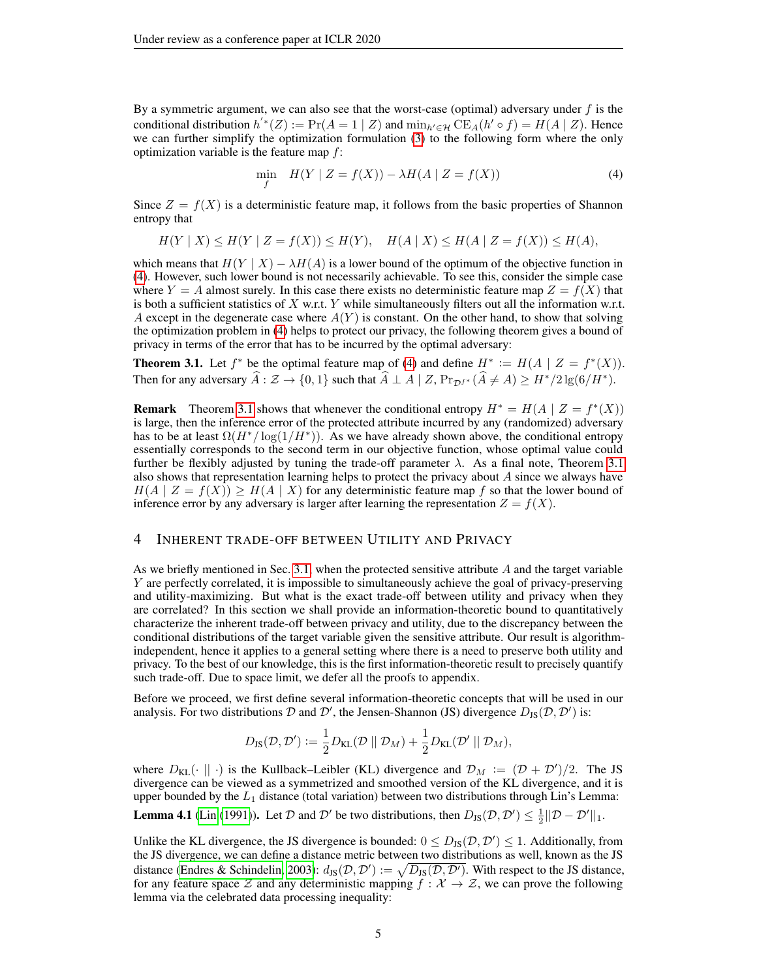By a symmetric argument, we can also see that the worst-case (optimal) adversary under  $f$  is the conditional distribution  $h^{'*}(Z) := \Pr(A = 1 | Z)$  and  $\min_{h' \in \mathcal{H}} \widetilde{\mathrm{CE}}_A(h' \circ f) = H(A | Z)$ . Hence we can further simplify the optimization formulation [\(3\)](#page-3-1) to the following form where the only optimization variable is the feature map  $f$ :

<span id="page-4-1"></span>
$$
\min_{f} \quad H(Y \mid Z = f(X)) - \lambda H(A \mid Z = f(X)) \tag{4}
$$

Since  $Z = f(X)$  is a deterministic feature map, it follows from the basic properties of Shannon entropy that

$$
H(Y | X) \le H(Y | Z = f(X)) \le H(Y), \quad H(A | X) \le H(A | Z = f(X)) \le H(A),
$$

which means that  $H(Y | X) - \lambda H(A)$  is a lower bound of the optimum of the objective function in [\(4\)](#page-4-1). However, such lower bound is not necessarily achievable. To see this, consider the simple case where  $Y = A$  almost surely. In this case there exists no deterministic feature map  $Z = f(X)$  that is both a sufficient statistics of  $X$  w.r.t.  $Y$  while simultaneously filters out all the information w.r.t. A except in the degenerate case where  $A(Y)$  is constant. On the other hand, to show that solving the optimization problem in [\(4\)](#page-4-1) helps to protect our privacy, the following theorem gives a bound of privacy in terms of the error that has to be incurred by the optimal adversary:

<span id="page-4-2"></span>**Theorem 3.1.** Let  $f^*$  be the optimal feature map of [\(4\)](#page-4-1) and define  $H^* := H(A \mid Z = f^*(X))$ . Then for any adversary  $\widehat{A} : \mathcal{Z} \to \{0, 1\}$  such that  $\widehat{A} \perp A \mid Z$ ,  $Pr_{\mathcal{D}f^*}(\widehat{A} \neq A) \geq H^*/2 \lg(6/H^*)$ .

**Remark** Theorem [3.1](#page-4-2) shows that whenever the conditional entropy  $H^* = H(A | Z = f^*(X))$ is large, then the inference error of the protected attribute incurred by any (randomized) adversary has to be at least  $\Omega(H^*/\log(1/H^*))$ . As we have already shown above, the conditional entropy essentially corresponds to the second term in our objective function, whose optimal value could further be flexibly adjusted by tuning the trade-off parameter  $\lambda$ . As a final note, Theorem [3.1](#page-4-2) also shows that representation learning helps to protect the privacy about  $A$  since we always have  $H(A \mid Z = f(X)) > H(A \mid X)$  for any deterministic feature map f so that the lower bound of inference error by any adversary is larger after learning the representation  $Z = f(X)$ .

## <span id="page-4-0"></span>4 INHERENT TRADE-OFF BETWEEN UTILITY AND PRIVACY

As we briefly mentioned in Sec. [3.1,](#page-2-3) when the protected sensitive attribute  $A$  and the target variable Y are perfectly correlated, it is impossible to simultaneously achieve the goal of privacy-preserving and utility-maximizing. But what is the exact trade-off between utility and privacy when they are correlated? In this section we shall provide an information-theoretic bound to quantitatively characterize the inherent trade-off between privacy and utility, due to the discrepancy between the conditional distributions of the target variable given the sensitive attribute. Our result is algorithmindependent, hence it applies to a general setting where there is a need to preserve both utility and privacy. To the best of our knowledge, this is the first information-theoretic result to precisely quantify such trade-off. Due to space limit, we defer all the proofs to appendix.

Before we proceed, we first define several information-theoretic concepts that will be used in our analysis. For two distributions D and D', the Jensen-Shannon (JS) divergence  $D_{JS}(D, D')$  is:

$$
D_{\text{JS}}(\mathcal{D}, \mathcal{D}') := \frac{1}{2} D_{\text{KL}}(\mathcal{D} \parallel \mathcal{D}_M) + \frac{1}{2} D_{\text{KL}}(\mathcal{D}' \parallel \mathcal{D}_M),
$$

where  $D_{KL}(\cdot \|\cdot)$  is the Kullback–Leibler (KL) divergence and  $\mathcal{D}_M := (\mathcal{D} + \mathcal{D}')/2$ . The JS divergence can be viewed as a symmetrized and smoothed version of the KL divergence, and it is upper bounded by the  $L_1$  distance (total variation) between two distributions through Lin's Lemma:

<span id="page-4-3"></span>**Lemma 4.1** [\(Lin](#page-10-6) [\(1991\)](#page-10-6)). Let D and D' be two distributions, then  $D_{JS}(D, D') \leq \frac{1}{2} ||D - D'||_1$ .

Unlike the KL divergence, the JS divergence is bounded:  $0 \leq D_{JS}(D, D') \leq 1$ . Additionally, from the JS divergence, we can define a distance metric between two distributions as well, known as the JS distance [\(Endres & Schindelin, 2003\)](#page-9-12):  $d_{\text{JS}}(\mathcal{D}, \mathcal{D}') := \sqrt{D_{\text{JS}}(\mathcal{D}, \mathcal{D}')}$ . With respect to the JS distance, for any feature space Z and any deterministic mapping  $f : \mathcal{X} \to \mathcal{Z}$ , we can prove the following lemma via the celebrated data processing inequality: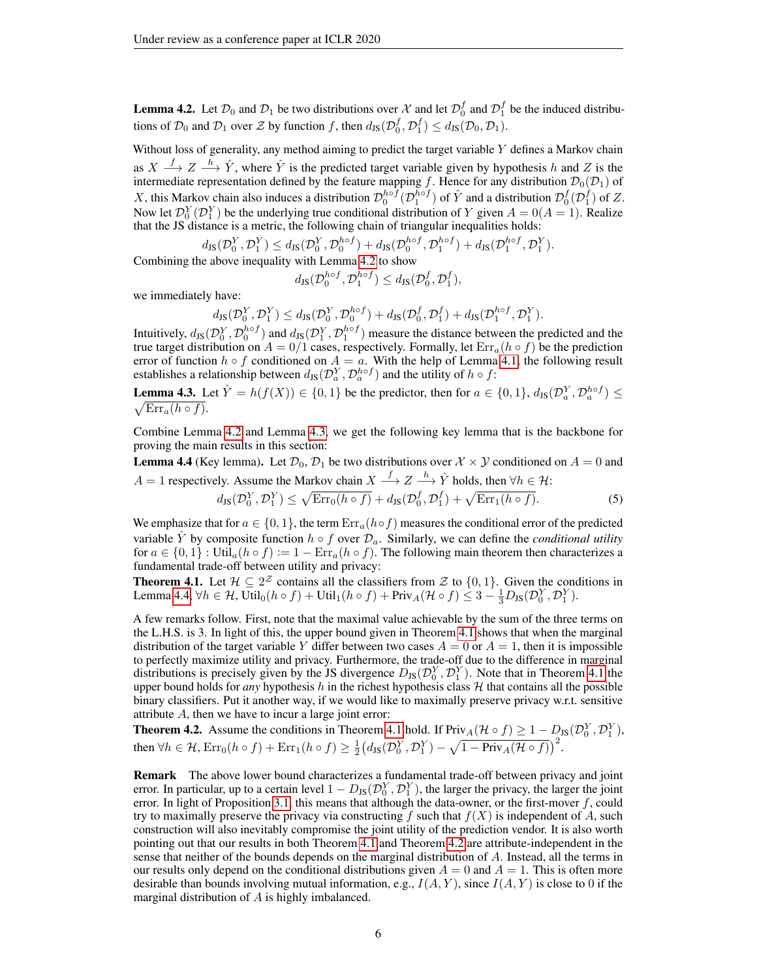<span id="page-5-0"></span>**Lemma 4.2.** Let  $\mathcal{D}_0$  and  $\mathcal{D}_1$  be two distributions over  $\mathcal{X}$  and let  $\mathcal{D}_0^f$  and  $\mathcal{D}_1^f$  be the induced distributions of  $\mathcal{D}_0$  and  $\mathcal{D}_1$  over  $\mathcal Z$  by function f, then  $d_{\text{JS}}(\mathcal{D}_0^f, \mathcal{D}_1^f) \leq d_{\text{JS}}(\mathcal{D}_0, \mathcal{D}_1)$ .

Without loss of generality, any method aiming to predict the target variable  $Y$  defines a Markov chain as  $X \stackrel{f}{\longrightarrow} Z \stackrel{h}{\longrightarrow} \hat{Y}$ , where  $\hat{Y}$  is the predicted target variable given by hypothesis h and Z is the intermediate representation defined by the feature mapping f. Hence for any distribution  $\mathcal{D}_0(\mathcal{D}_1)$  of X, this Markov chain also induces a distribution  $\mathcal{D}_0^{h \circ f}(\mathcal{D}_1^{h \circ f})$  of  $\hat{Y}$  and a distribution  $\mathcal{D}_0^f(\mathcal{D}_1^f)$  of Z. Now let  $\mathcal{D}_0^Y(\mathcal{D}_1^Y)$  be the underlying true conditional distribution of Y given  $A = 0(A = 1)$ . Realize that the JS distance is a metric, the following chain of triangular inequalities holds:

$$
d_{\text{JS}}(\mathcal{D}_0^Y, \mathcal{D}_1^Y) \le d_{\text{JS}}(\mathcal{D}_0^Y, \mathcal{D}_0^{h \circ f}) + d_{\text{JS}}(\mathcal{D}_0^{h \circ f}, \mathcal{D}_1^{h \circ f}) + d_{\text{JS}}(\mathcal{D}_1^{h \circ f})
$$

Combining the above inequality with Lemma [4.2](#page-5-0) to show

$$
d_{\text{JS}}(\mathcal{D}^{h\circ f}_0, \mathcal{D}^{h\circ f}_1) \leq d_{\text{JS}}(\mathcal{D}^f_0, \mathcal{D}^f_1),
$$

 $, \mathcal{D}_{1}^{Y}).$ 

we immediately have:

$$
d_{\text{JS}}(\mathcal{D}_0^Y, \mathcal{D}_1^Y) \leq d_{\text{JS}}(\mathcal{D}_0^Y, \mathcal{D}_0^{h \circ f}) + d_{\text{JS}}(\mathcal{D}_0^f, \mathcal{D}_1^f) + d_{\text{JS}}(\mathcal{D}_1^{h \circ f}, \mathcal{D}_1^Y).
$$

Intuitively,  $d_{JS}(D_0^Y, D_0^{h\circ f})$  and  $d_{JS}(D_1^Y, D_1^{h\circ f})$  measure the distance between the predicted and the true target distribution on  $A = 0/1$  cases, respectively. Formally, let  $Err_a(h \circ f)$  be the prediction error of function  $h \circ f$  conditioned on  $A = a$ . With the help of Lemma [4.1,](#page-4-3) the following result establishes a relationship between  $d_{\text{JS}}(\mathcal{D}^Y_a, \mathcal{D}^{hof}_a)$  and the utility of  $h \circ f$ :

<span id="page-5-1"></span>**Lemma 4.3.** Let  $\hat{Y} = h(f(X)) \in \{0, 1\}$  be the predictor, then for  $a \in \{0, 1\}$ ,  $d_{\text{JS}}(\mathcal{D}_a^Y, \mathcal{D}_a^{h \circ f}) \le \sqrt{\text{Err}_a(h \circ f)}$ .  $\sqrt{\text{Err}_a(h \circ f)}$ .

Combine Lemma [4.2](#page-5-0) and Lemma [4.3,](#page-5-1) we get the following key lemma that is the backbone for proving the main results in this section:

<span id="page-5-2"></span>**Lemma 4.4** (Key lemma). Let  $\mathcal{D}_0$ ,  $\mathcal{D}_1$  be two distributions over  $\mathcal{X} \times \mathcal{Y}$  conditioned on  $A = 0$  and A = 1 respectively. Assume the Markov chain  $X \stackrel{f}{\longrightarrow} Z \stackrel{h}{\longrightarrow} \hat{Y}$  holds, then  $\forall h \in \mathcal{H}$ :

$$
d_{\text{JS}}(\mathcal{D}_0^Y, \mathcal{D}_1^Y) \le \sqrt{\text{Err}_0(h \circ f)} + d_{\text{JS}}(\mathcal{D}_0^f, \mathcal{D}_1^f) + \sqrt{\text{Err}_1(h \circ f)}.
$$
 (5)

We emphasize that for  $a \in \{0, 1\}$ , the term  $Err_a(h \circ f)$  measures the conditional error of the predicted variable Y by composite function  $h \circ f$  over  $\mathcal{D}_a$ . Similarly, we can define the *conditional utility* for  $a \in \{0,1\}$ : Util<sub>a</sub> $(h \circ f) := 1 - \text{Err}_{a}$  $(h \circ f)$ . The following main theorem then characterizes a fundamental trade-off between utility and privacy:

<span id="page-5-3"></span>**Theorem 4.1.** Let  $\mathcal{H} \subseteq 2^{\mathcal{Z}}$  contains all the classifiers from  $\mathcal{Z}$  to  $\{0,1\}$ . Given the conditions in Lemma [4.4,](#page-5-2)  $\forall h \in \mathcal{H}$ ,  $\overline{\text{Util}}_0(h \circ f) + \text{Util}_1(h \circ f) + \text{Priv}_A(\mathcal{H} \circ f) \leq 3 - \frac{1}{3}D_{\text{JS}}(\mathcal{D}_0^Y, \mathcal{D}_1^Y)$ .

A few remarks follow. First, note that the maximal value achievable by the sum of the three terms on the L.H.S. is 3. In light of this, the upper bound given in Theorem [4.1](#page-5-3) shows that when the marginal distribution of the target variable Y differ between two cases  $A = 0$  or  $A = 1$ , then it is impossible to perfectly maximize utility and privacy. Furthermore, the trade-off due to the difference in marginal distributions is precisely given by the JS divergence  $D_{\text{JS}}(\mathcal{D}_0^Y, \mathcal{D}_1^Y)$ . Note that in Theorem [4.1](#page-5-3) the upper bound holds for *any* hypothesis h in the richest hypothesis class  $H$  that contains all the possible binary classifiers. Put it another way, if we would like to maximally preserve privacy w.r.t. sensitive attribute A, then we have to incur a large joint error:

<span id="page-5-4"></span>**Theorem 4.2.** Assume the conditions in Theorem [4.1](#page-5-3) hold. If  $\text{Priv}_A(\mathcal{H} \circ f) \geq 1 - D_{\text{JS}}(\mathcal{D}_0^Y, \mathcal{D}_1^Y)$ , then  $\forall h \in \mathcal{H}$ ,  $\text{Err}_0(h \circ f) + \text{Err}_1(h \circ f) \geq \frac{1}{2} (d_{\text{JS}}(\mathcal{D}_0^Y, \mathcal{D}_1^Y) - \sqrt{1 - \text{Priv}_A(\mathcal{H} \circ f)})^2$ .

Remark The above lower bound characterizes a fundamental trade-off between privacy and joint error. In particular, up to a certain level  $1 - D_{JS}(\mathcal{D}_0^Y, \mathcal{D}_1^Y)$ , the larger the privacy, the larger the joint error. In light of Proposition [3.1,](#page-3-2) this means that although the data-owner, or the first-mover  $f$ , could try to maximally preserve the privacy via constructing  $f$  such that  $f(X)$  is independent of A, such construction will also inevitably compromise the joint utility of the prediction vendor. It is also worth pointing out that our results in both Theorem [4.1](#page-5-3) and Theorem [4.2](#page-5-4) are attribute-independent in the sense that neither of the bounds depends on the marginal distribution of A. Instead, all the terms in our results only depend on the conditional distributions given  $A = 0$  and  $A = 1$ . This is often more desirable than bounds involving mutual information, e.g.,  $I(A, Y)$ , since  $I(A, Y)$  is close to 0 if the marginal distribution of  $A$  is highly imbalanced.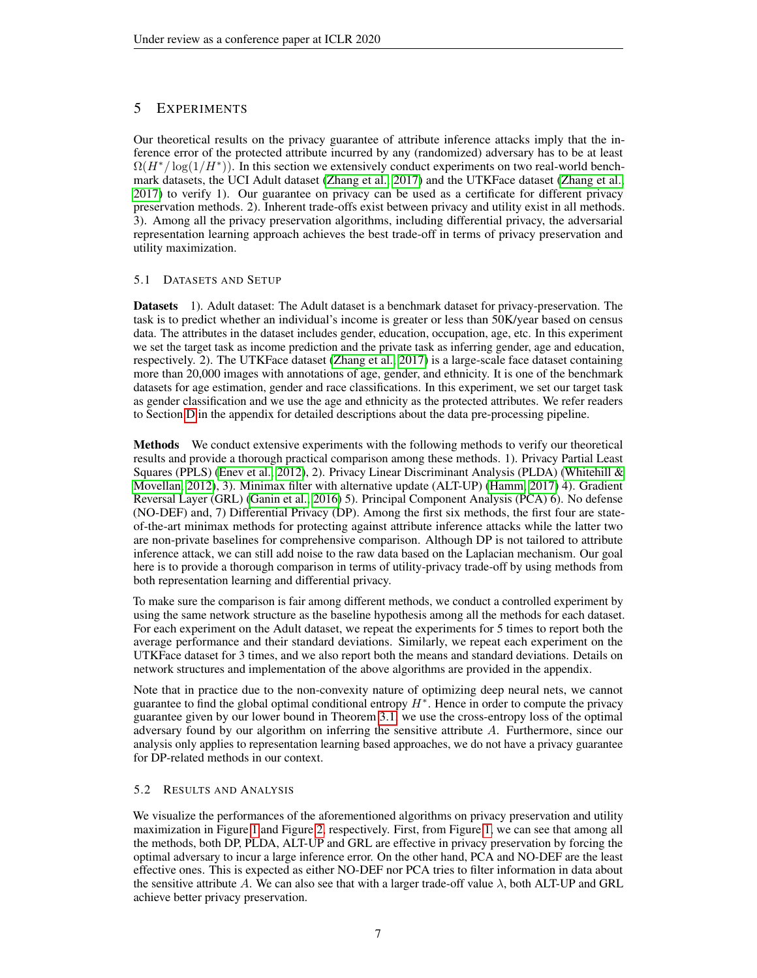# 5 EXPERIMENTS

Our theoretical results on the privacy guarantee of attribute inference attacks imply that the inference error of the protected attribute incurred by any (randomized) adversary has to be at least  $\Omega(H^*/\log(1/H^*))$ . In this section we extensively conduct experiments on two real-world benchmark datasets, the UCI Adult dataset [\(Zhang et al., 2017\)](#page-10-7) and the UTKFace dataset [\(Zhang et al.,](#page-10-7) [2017\)](#page-10-7) to verify 1). Our guarantee on privacy can be used as a certificate for different privacy preservation methods. 2). Inherent trade-offs exist between privacy and utility exist in all methods. 3). Among all the privacy preservation algorithms, including differential privacy, the adversarial representation learning approach achieves the best trade-off in terms of privacy preservation and utility maximization.

# 5.1 DATASETS AND SETUP

Datasets 1). Adult dataset: The Adult dataset is a benchmark dataset for privacy-preservation. The task is to predict whether an individual's income is greater or less than 50K/year based on census data. The attributes in the dataset includes gender, education, occupation, age, etc. In this experiment we set the target task as income prediction and the private task as inferring gender, age and education, respectively. 2). The UTKFace dataset [\(Zhang et al., 2017\)](#page-10-7) is a large-scale face dataset containing more than 20,000 images with annotations of age, gender, and ethnicity. It is one of the benchmark datasets for age estimation, gender and race classifications. In this experiment, we set our target task as gender classification and we use the age and ethnicity as the protected attributes. We refer readers to Section [D](#page-15-1) in the appendix for detailed descriptions about the data pre-processing pipeline.

Methods We conduct extensive experiments with the following methods to verify our theoretical results and provide a thorough practical comparison among these methods. 1). Privacy Partial Least Squares (PPLS) [\(Enev et al., 2012\)](#page-9-13), 2). Privacy Linear Discriminant Analysis (PLDA) [\(Whitehill &](#page-10-8) [Movellan, 2012\)](#page-10-8), 3). Minimax filter with alternative update (ALT-UP) [\(Hamm, 2017\)](#page-10-9) 4). Gradient Reversal Layer (GRL) [\(Ganin et al., 2016\)](#page-10-10) 5). Principal Component Analysis (PCA) 6). No defense (NO-DEF) and, 7) Differential Privacy (DP). Among the first six methods, the first four are stateof-the-art minimax methods for protecting against attribute inference attacks while the latter two are non-private baselines for comprehensive comparison. Although DP is not tailored to attribute inference attack, we can still add noise to the raw data based on the Laplacian mechanism. Our goal here is to provide a thorough comparison in terms of utility-privacy trade-off by using methods from both representation learning and differential privacy.

To make sure the comparison is fair among different methods, we conduct a controlled experiment by using the same network structure as the baseline hypothesis among all the methods for each dataset. For each experiment on the Adult dataset, we repeat the experiments for 5 times to report both the average performance and their standard deviations. Similarly, we repeat each experiment on the UTKFace dataset for 3 times, and we also report both the means and standard deviations. Details on network structures and implementation of the above algorithms are provided in the appendix.

Note that in practice due to the non-convexity nature of optimizing deep neural nets, we cannot guarantee to find the global optimal conditional entropy  $H^*$ . Hence in order to compute the privacy guarantee given by our lower bound in Theorem [3.1,](#page-4-2) we use the cross-entropy loss of the optimal adversary found by our algorithm on inferring the sensitive attribute A. Furthermore, since our analysis only applies to representation learning based approaches, we do not have a privacy guarantee for DP-related methods in our context.

# 5.2 RESULTS AND ANALYSIS

We visualize the performances of the aforementioned algorithms on privacy preservation and utility maximization in Figure [1](#page-7-0) and Figure [2,](#page-7-1) respectively. First, from Figure [1,](#page-7-0) we can see that among all the methods, both DP, PLDA, ALT-UP and GRL are effective in privacy preservation by forcing the optimal adversary to incur a large inference error. On the other hand, PCA and NO-DEF are the least effective ones. This is expected as either NO-DEF nor PCA tries to filter information in data about the sensitive attribute A. We can also see that with a larger trade-off value  $\lambda$ , both ALT-UP and GRL achieve better privacy preservation.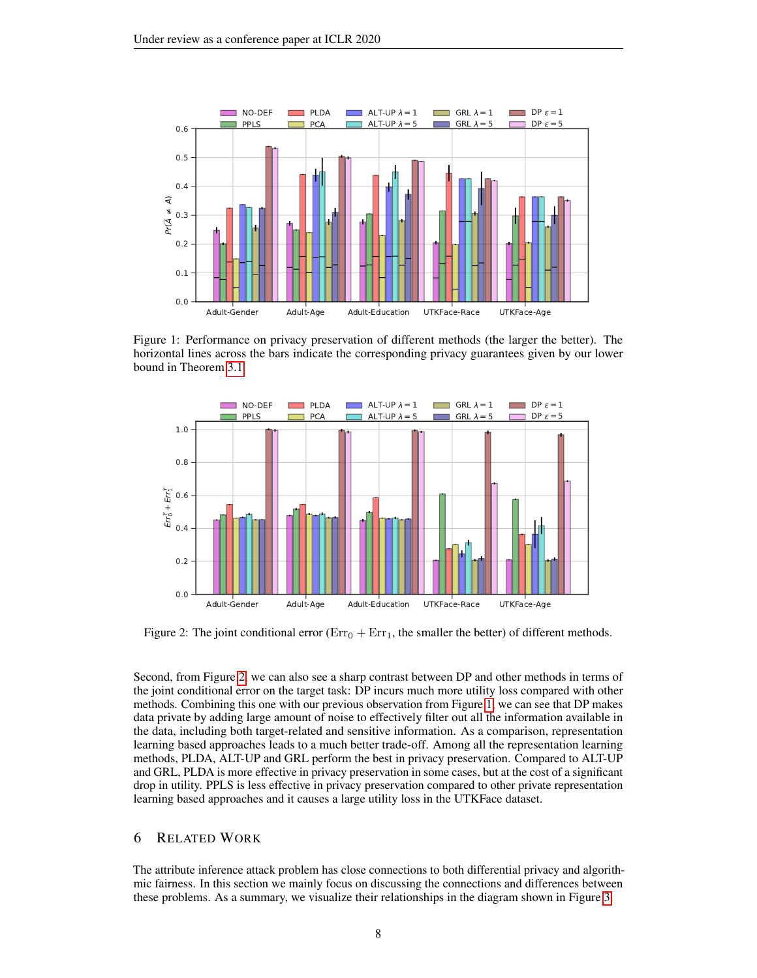<span id="page-7-0"></span>

Figure 1: Performance on privacy preservation of different methods (the larger the better). The horizontal lines across the bars indicate the corresponding privacy guarantees given by our lower bound in Theorem [3.1.](#page-4-2)

<span id="page-7-1"></span>

Figure 2: The joint conditional error ( $Err_0 + Err_1$ , the smaller the better) of different methods.

Second, from Figure [2,](#page-7-1) we can also see a sharp contrast between DP and other methods in terms of the joint conditional error on the target task: DP incurs much more utility loss compared with other methods. Combining this one with our previous observation from Figure [1,](#page-7-0) we can see that DP makes data private by adding large amount of noise to effectively filter out all the information available in the data, including both target-related and sensitive information. As a comparison, representation learning based approaches leads to a much better trade-off. Among all the representation learning methods, PLDA, ALT-UP and GRL perform the best in privacy preservation. Compared to ALT-UP and GRL, PLDA is more effective in privacy preservation in some cases, but at the cost of a significant drop in utility. PPLS is less effective in privacy preservation compared to other private representation learning based approaches and it causes a large utility loss in the UTKFace dataset.

# 6 RELATED WORK

The attribute inference attack problem has close connections to both differential privacy and algorithmic fairness. In this section we mainly focus on discussing the connections and differences between these problems. As a summary, we visualize their relationships in the diagram shown in Figure [3.](#page-8-0)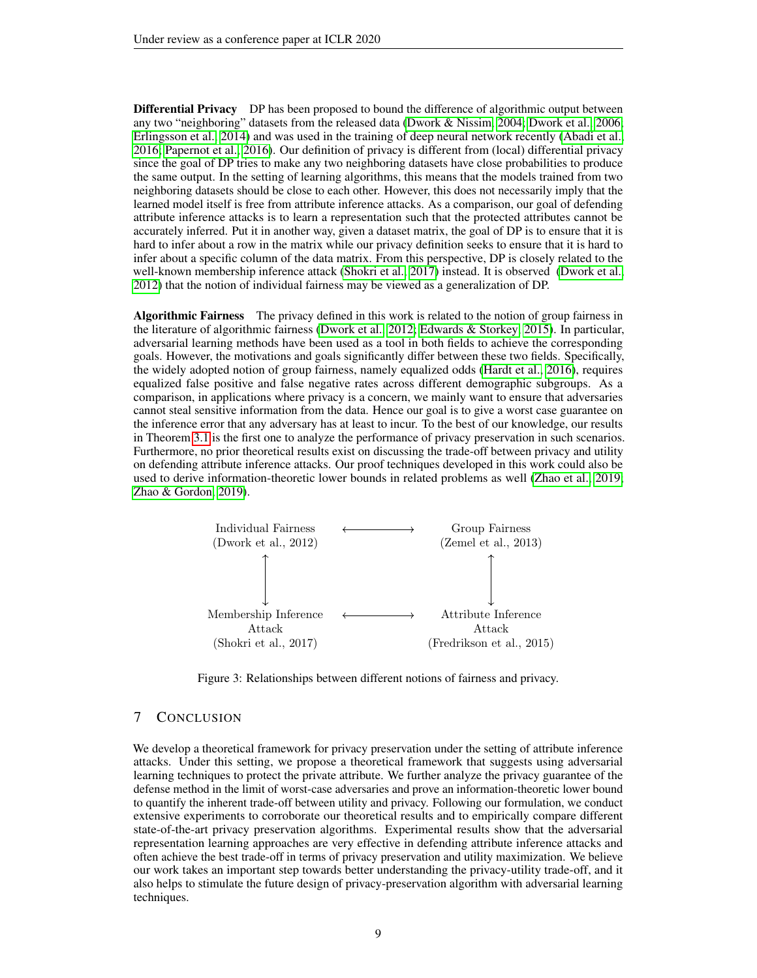**Differential Privacy** DP has been proposed to bound the difference of algorithmic output between any two "neighboring" datasets from the released data [\(Dwork & Nissim, 2004;](#page-9-4) [Dwork et al., 2006;](#page-9-5) [Erlingsson et al., 2014\)](#page-9-6) and was used in the training of deep neural network recently [\(Abadi et al.,](#page-9-0) [2016;](#page-9-0) [Papernot et al., 2016\)](#page-10-3). Our definition of privacy is different from (local) differential privacy since the goal of DP tries to make any two neighboring datasets have close probabilities to produce the same output. In the setting of learning algorithms, this means that the models trained from two neighboring datasets should be close to each other. However, this does not necessarily imply that the learned model itself is free from attribute inference attacks. As a comparison, our goal of defending attribute inference attacks is to learn a representation such that the protected attributes cannot be accurately inferred. Put it in another way, given a dataset matrix, the goal of DP is to ensure that it is hard to infer about a row in the matrix while our privacy definition seeks to ensure that it is hard to infer about a specific column of the data matrix. From this perspective, DP is closely related to the well-known membership inference attack [\(Shokri et al., 2017\)](#page-10-2) instead. It is observed [\(Dwork et al.,](#page-9-14) [2012\)](#page-9-14) that the notion of individual fairness may be viewed as a generalization of DP.

Algorithmic Fairness The privacy defined in this work is related to the notion of group fairness in the literature of algorithmic fairness [\(Dwork et al., 2012;](#page-9-14) [Edwards & Storkey, 2015\)](#page-9-15). In particular, adversarial learning methods have been used as a tool in both fields to achieve the corresponding goals. However, the motivations and goals significantly differ between these two fields. Specifically, the widely adopted notion of group fairness, namely equalized odds [\(Hardt et al., 2016\)](#page-10-11), requires equalized false positive and false negative rates across different demographic subgroups. As a comparison, in applications where privacy is a concern, we mainly want to ensure that adversaries cannot steal sensitive information from the data. Hence our goal is to give a worst case guarantee on the inference error that any adversary has at least to incur. To the best of our knowledge, our results in Theorem [3.1](#page-4-2) is the first one to analyze the performance of privacy preservation in such scenarios. Furthermore, no prior theoretical results exist on discussing the trade-off between privacy and utility on defending attribute inference attacks. Our proof techniques developed in this work could also be used to derive information-theoretic lower bounds in related problems as well [\(Zhao et al., 2019;](#page-10-12) [Zhao & Gordon, 2019\)](#page-10-13).

<span id="page-8-0"></span>

Figure 3: Relationships between different notions of fairness and privacy.

### 7 CONCLUSION

We develop a theoretical framework for privacy preservation under the setting of attribute inference attacks. Under this setting, we propose a theoretical framework that suggests using adversarial learning techniques to protect the private attribute. We further analyze the privacy guarantee of the defense method in the limit of worst-case adversaries and prove an information-theoretic lower bound to quantify the inherent trade-off between utility and privacy. Following our formulation, we conduct extensive experiments to corroborate our theoretical results and to empirically compare different state-of-the-art privacy preservation algorithms. Experimental results show that the adversarial representation learning approaches are very effective in defending attribute inference attacks and often achieve the best trade-off in terms of privacy preservation and utility maximization. We believe our work takes an important step towards better understanding the privacy-utility trade-off, and it also helps to stimulate the future design of privacy-preservation algorithm with adversarial learning techniques.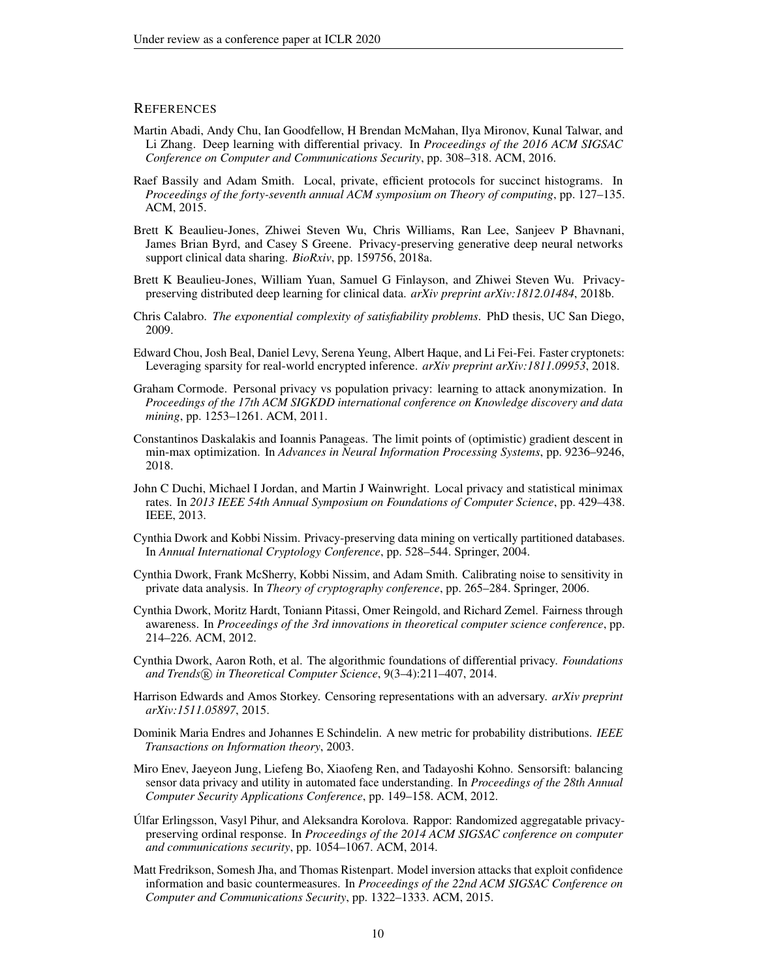# **REFERENCES**

- <span id="page-9-0"></span>Martin Abadi, Andy Chu, Ian Goodfellow, H Brendan McMahan, Ilya Mironov, Kunal Talwar, and Li Zhang. Deep learning with differential privacy. In *Proceedings of the 2016 ACM SIGSAC Conference on Computer and Communications Security*, pp. 308–318. ACM, 2016.
- <span id="page-9-8"></span>Raef Bassily and Adam Smith. Local, private, efficient protocols for succinct histograms. In *Proceedings of the forty-seventh annual ACM symposium on Theory of computing*, pp. 127–135. ACM, 2015.
- <span id="page-9-3"></span>Brett K Beaulieu-Jones, Zhiwei Steven Wu, Chris Williams, Ran Lee, Sanjeev P Bhavnani, James Brian Byrd, and Casey S Greene. Privacy-preserving generative deep neural networks support clinical data sharing. *BioRxiv*, pp. 159756, 2018a.
- <span id="page-9-2"></span>Brett K Beaulieu-Jones, William Yuan, Samuel G Finlayson, and Zhiwei Steven Wu. Privacypreserving distributed deep learning for clinical data. *arXiv preprint arXiv:1812.01484*, 2018b.
- <span id="page-9-16"></span>Chris Calabro. *The exponential complexity of satisfiability problems*. PhD thesis, UC San Diego, 2009.
- <span id="page-9-1"></span>Edward Chou, Josh Beal, Daniel Levy, Serena Yeung, Albert Haque, and Li Fei-Fei. Faster cryptonets: Leveraging sparsity for real-world encrypted inference. *arXiv preprint arXiv:1811.09953*, 2018.
- <span id="page-9-10"></span>Graham Cormode. Personal privacy vs population privacy: learning to attack anonymization. In *Proceedings of the 17th ACM SIGKDD international conference on Knowledge discovery and data mining*, pp. 1253–1261. ACM, 2011.
- <span id="page-9-17"></span>Constantinos Daskalakis and Ioannis Panageas. The limit points of (optimistic) gradient descent in min-max optimization. In *Advances in Neural Information Processing Systems*, pp. 9236–9246, 2018.
- <span id="page-9-7"></span>John C Duchi, Michael I Jordan, and Martin J Wainwright. Local privacy and statistical minimax rates. In *2013 IEEE 54th Annual Symposium on Foundations of Computer Science*, pp. 429–438. IEEE, 2013.
- <span id="page-9-4"></span>Cynthia Dwork and Kobbi Nissim. Privacy-preserving data mining on vertically partitioned databases. In *Annual International Cryptology Conference*, pp. 528–544. Springer, 2004.
- <span id="page-9-5"></span>Cynthia Dwork, Frank McSherry, Kobbi Nissim, and Adam Smith. Calibrating noise to sensitivity in private data analysis. In *Theory of cryptography conference*, pp. 265–284. Springer, 2006.
- <span id="page-9-14"></span>Cynthia Dwork, Moritz Hardt, Toniann Pitassi, Omer Reingold, and Richard Zemel. Fairness through awareness. In *Proceedings of the 3rd innovations in theoretical computer science conference*, pp. 214–226. ACM, 2012.
- <span id="page-9-11"></span>Cynthia Dwork, Aaron Roth, et al. The algorithmic foundations of differential privacy. *Foundations and Trends* <sup>R</sup> *in Theoretical Computer Science*, 9(3–4):211–407, 2014.
- <span id="page-9-15"></span>Harrison Edwards and Amos Storkey. Censoring representations with an adversary. *arXiv preprint arXiv:1511.05897*, 2015.
- <span id="page-9-12"></span>Dominik Maria Endres and Johannes E Schindelin. A new metric for probability distributions. *IEEE Transactions on Information theory*, 2003.
- <span id="page-9-13"></span>Miro Enev, Jaeyeon Jung, Liefeng Bo, Xiaofeng Ren, and Tadayoshi Kohno. Sensorsift: balancing sensor data privacy and utility in automated face understanding. In *Proceedings of the 28th Annual Computer Security Applications Conference*, pp. 149–158. ACM, 2012.
- <span id="page-9-6"></span>Úlfar Erlingsson, Vasyl Pihur, and Aleksandra Korolova. Rappor: Randomized aggregatable privacypreserving ordinal response. In *Proceedings of the 2014 ACM SIGSAC conference on computer and communications security*, pp. 1054–1067. ACM, 2014.
- <span id="page-9-9"></span>Matt Fredrikson, Somesh Jha, and Thomas Ristenpart. Model inversion attacks that exploit confidence information and basic countermeasures. In *Proceedings of the 22nd ACM SIGSAC Conference on Computer and Communications Security*, pp. 1322–1333. ACM, 2015.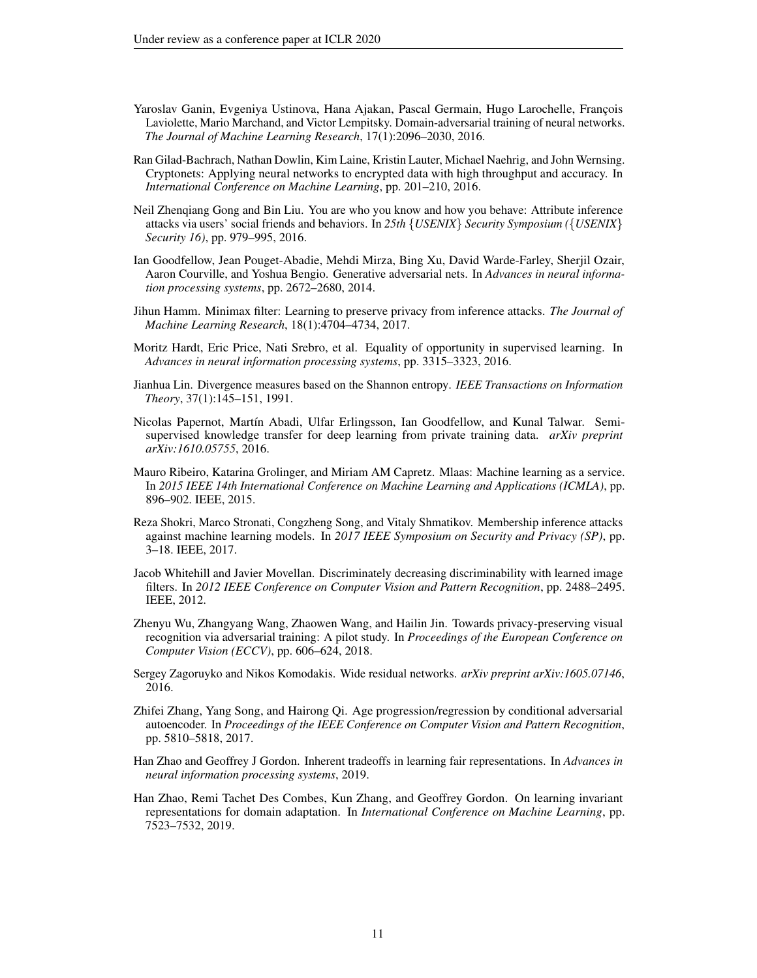- <span id="page-10-10"></span>Yaroslav Ganin, Evgeniya Ustinova, Hana Ajakan, Pascal Germain, Hugo Larochelle, François Laviolette, Mario Marchand, and Victor Lempitsky. Domain-adversarial training of neural networks. *The Journal of Machine Learning Research*, 17(1):2096–2030, 2016.
- <span id="page-10-0"></span>Ran Gilad-Bachrach, Nathan Dowlin, Kim Laine, Kristin Lauter, Michael Naehrig, and John Wernsing. Cryptonets: Applying neural networks to encrypted data with high throughput and accuracy. In *International Conference on Machine Learning*, pp. 201–210, 2016.
- <span id="page-10-4"></span>Neil Zhenqiang Gong and Bin Liu. You are who you know and how you behave: Attribute inference attacks via users' social friends and behaviors. In *25th* {*USENIX*} *Security Symposium (*{*USENIX*} *Security 16)*, pp. 979–995, 2016.
- <span id="page-10-14"></span>Ian Goodfellow, Jean Pouget-Abadie, Mehdi Mirza, Bing Xu, David Warde-Farley, Sherjil Ozair, Aaron Courville, and Yoshua Bengio. Generative adversarial nets. In *Advances in neural information processing systems*, pp. 2672–2680, 2014.
- <span id="page-10-9"></span>Jihun Hamm. Minimax filter: Learning to preserve privacy from inference attacks. *The Journal of Machine Learning Research*, 18(1):4704–4734, 2017.
- <span id="page-10-11"></span>Moritz Hardt, Eric Price, Nati Srebro, et al. Equality of opportunity in supervised learning. In *Advances in neural information processing systems*, pp. 3315–3323, 2016.
- <span id="page-10-6"></span>Jianhua Lin. Divergence measures based on the Shannon entropy. *IEEE Transactions on Information Theory*, 37(1):145–151, 1991.
- <span id="page-10-3"></span>Nicolas Papernot, Martín Abadi, Ulfar Erlingsson, Ian Goodfellow, and Kunal Talwar. Semisupervised knowledge transfer for deep learning from private training data. *arXiv preprint arXiv:1610.05755*, 2016.
- <span id="page-10-5"></span>Mauro Ribeiro, Katarina Grolinger, and Miriam AM Capretz. Mlaas: Machine learning as a service. In *2015 IEEE 14th International Conference on Machine Learning and Applications (ICMLA)*, pp. 896–902. IEEE, 2015.
- <span id="page-10-2"></span>Reza Shokri, Marco Stronati, Congzheng Song, and Vitaly Shmatikov. Membership inference attacks against machine learning models. In *2017 IEEE Symposium on Security and Privacy (SP)*, pp. 3–18. IEEE, 2017.
- <span id="page-10-8"></span>Jacob Whitehill and Javier Movellan. Discriminately decreasing discriminability with learned image filters. In *2012 IEEE Conference on Computer Vision and Pattern Recognition*, pp. 2488–2495. IEEE, 2012.
- <span id="page-10-1"></span>Zhenyu Wu, Zhangyang Wang, Zhaowen Wang, and Hailin Jin. Towards privacy-preserving visual recognition via adversarial training: A pilot study. In *Proceedings of the European Conference on Computer Vision (ECCV)*, pp. 606–624, 2018.
- <span id="page-10-15"></span>Sergey Zagoruyko and Nikos Komodakis. Wide residual networks. *arXiv preprint arXiv:1605.07146*, 2016.
- <span id="page-10-7"></span>Zhifei Zhang, Yang Song, and Hairong Qi. Age progression/regression by conditional adversarial autoencoder. In *Proceedings of the IEEE Conference on Computer Vision and Pattern Recognition*, pp. 5810–5818, 2017.
- <span id="page-10-13"></span>Han Zhao and Geoffrey J Gordon. Inherent tradeoffs in learning fair representations. In *Advances in neural information processing systems*, 2019.
- <span id="page-10-12"></span>Han Zhao, Remi Tachet Des Combes, Kun Zhang, and Geoffrey Gordon. On learning invariant representations for domain adaptation. In *International Conference on Machine Learning*, pp. 7523–7532, 2019.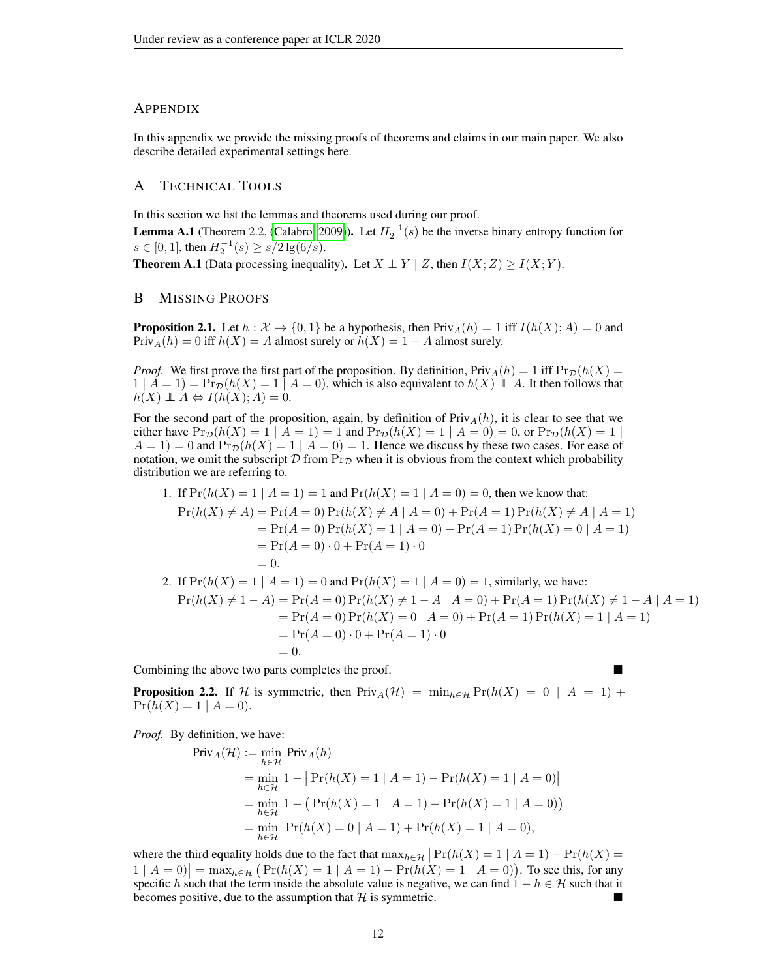## **APPENDIX**

In this appendix we provide the missing proofs of theorems and claims in our main paper. We also describe detailed experimental settings here.

# A TECHNICAL TOOLS

In this section we list the lemmas and theorems used during our proof.

<span id="page-11-0"></span>**Lemma A.1** (Theorem 2.2, [\(Calabro, 2009\)](#page-9-16)). Let  $H_2^{-1}(s)$  be the inverse binary entropy function for  $s \in [0, 1]$ , then  $H_2^{-1}(s) \ge s/2 \lg(6/s)$ .

**Theorem A.1** (Data processing inequality). Let  $X \perp Y \mid Z$ , then  $I(X;Z) \geq I(X;Y)$ .

# B MISSING PROOFS

**Proposition 2.1.** Let  $h : \mathcal{X} \to \{0,1\}$  be a hypothesis, then  $Priv_A(h) = 1$  iff  $I(h(X); A) = 0$  and  $\text{Priv}_A(h) = 0$  iff  $h(X) = A$  almost surely or  $h(X) = 1 - A$  almost surely.

*Proof.* We first prove the first part of the proposition. By definition,  $\text{Priv}_A(h) = 1$  iff  $\text{Pr}_{\mathcal{D}}(h(X) =$  $1 \mid A = 1$ ) =  $\Pr_{\mathcal{D}}(h(X) = 1 \mid A = 0)$ , which is also equivalent to  $h(X) \perp A$ . It then follows that  $h(X) \perp A \Leftrightarrow I(h(X); A) = 0.$ 

For the second part of the proposition, again, by definition of  $Priv_A(h)$ , it is clear to see that we either have  $\Pr_{\mathcal{D}}(h(X) = 1 \mid A = 1) = 1$  and  $\Pr_{\mathcal{D}}(h(X) = 1 \mid A = 0) = 0$ , or  $\Pr_{\mathcal{D}}(h(X) = 1 \mid A = 1)$  $A = 1$  = 0 and  $\Pr_{\mathcal{D}}(h(X) = 1 \mid A = 0) = 1$ . Hence we discuss by these two cases. For ease of notation, we omit the subscript D from  $Pr_{\mathcal{D}}$  when it is obvious from the context which probability distribution we are referring to.

1. If 
$$
Pr(h(X) = 1 | A = 1) = 1
$$
 and  $Pr(h(X) = 1 | A = 0) = 0$ , then we know that:  
\n $Pr(h(X) \neq A) = Pr(A = 0) Pr(h(X) \neq A | A = 0) + Pr(A = 1) Pr(h(X) \neq A | A = 1)$   
\n $= Pr(A = 0) Pr(h(X) = 1 | A = 0) + Pr(A = 1) Pr(h(X) = 0 | A = 1)$   
\n $= Pr(A = 0) \cdot 0 + Pr(A = 1) \cdot 0$   
\n $= 0.$ 

2. If 
$$
Pr(h(X) = 1 | A = 1) = 0
$$
 and  $Pr(h(X) = 1 | A = 0) = 1$ , similarly, we have:  
\n
$$
Pr(h(X) \neq 1 - A) = Pr(A = 0) Pr(h(X) \neq 1 - A | A = 0) + Pr(A = 1) Pr(h(X) \neq 1 - A | A = 1)
$$
\n
$$
= Pr(A = 0) Pr(h(X) = 0 | A = 0) + Pr(A = 1) Pr(h(X) = 1 | A = 1)
$$
\n
$$
= Pr(A = 0) \cdot 0 + Pr(A = 1) \cdot 0
$$
\n
$$
= 0.
$$

Combining the above two parts completes the proof.

**Proposition 2.2.** If H is symmetric, then  $\text{Priv}_A(\mathcal{H}) = \min_{h \in \mathcal{H}} \text{Pr}(h(X) = 0 | A = 1) +$  $Pr(h(X) = 1 | A = 0).$ 

*Proof.* By definition, we have:

$$
\begin{aligned} \text{Priv}_A(\mathcal{H}) &:= \min_{h \in \mathcal{H}} \text{Priv}_A(h) \\ &= \min_{h \in \mathcal{H}} 1 - \left| \Pr(h(X) = 1 \mid A = 1) - \Pr(h(X) = 1 \mid A = 0) \right| \\ &= \min_{h \in \mathcal{H}} 1 - \left( \Pr(h(X) = 1 \mid A = 1) - \Pr(h(X) = 1 \mid A = 0) \right) \\ &= \min_{h \in \mathcal{H}} \Pr(h(X) = 0 \mid A = 1) + \Pr(h(X) = 1 \mid A = 0), \end{aligned}
$$

where the third equality holds due to the fact that  $\max_{h \in \mathcal{H}} |Pr(h(X) = 1 | A = 1) - Pr(h(X) =$  $1 | A = 0 \nvert = \max_{h \in \mathcal{H}} (Pr(h(X) = 1 | A = 1) - Pr(h(X) = 1 | A = 0)).$  To see this, for any specific h such that the term inside the absolute value is negative, we can find  $1 - h \in \mathcal{H}$  such that it becomes positive, due to the assumption that  $H$  is symmetric.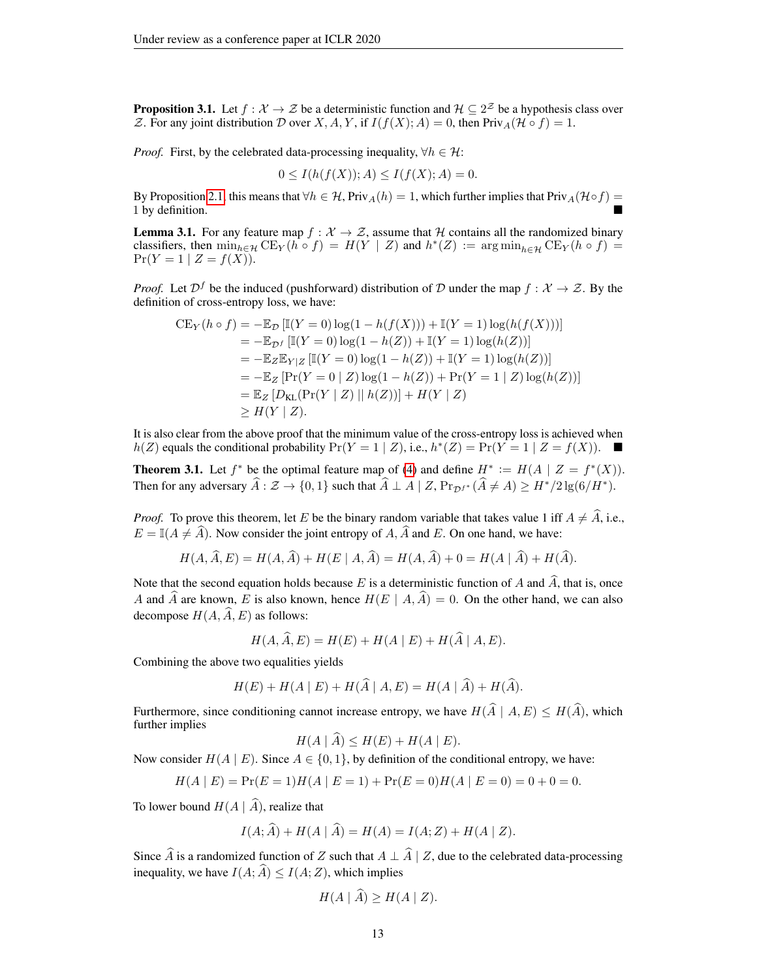**Proposition 3.1.** Let  $f : \mathcal{X} \to \mathcal{Z}$  be a deterministic function and  $\mathcal{H} \subseteq 2^{\mathcal{Z}}$  be a hypothesis class over Z. For any joint distribution D over X, A, Y, if  $I(f(X); A) = 0$ , then Priv<sub>A</sub> $(\mathcal{H} \circ f) = 1$ .

*Proof.* First, by the celebrated data-processing inequality,  $\forall h \in \mathcal{H}$ :

$$
0 \le I(h(f(X)); A) \le I(f(X); A) = 0.
$$

By Proposition [2.1,](#page-2-0) this means that  $\forall h \in \mathcal{H}$ , Priv<sub>A</sub> $(h) = 1$ , which further implies that Priv<sub>A</sub> $(\mathcal{H} \circ f) =$ 1 by definition.

**Lemma 3.1.** For any feature map  $f : \mathcal{X} \to \mathcal{Z}$ , assume that H contains all the randomized binary classifiers, then  $\min_{h \in \mathcal{H}} \text{CE}_Y(h \circ f) = H(Y | Z)$  and  $h^*(Z) := \arg \min_{h \in \mathcal{H}} \text{CE}_Y(h \circ f) =$  $Pr(Y = 1 | Z = f(X)).$ 

*Proof.* Let  $\mathcal{D}^f$  be the induced (pushforward) distribution of D under the map  $f : \mathcal{X} \to \mathcal{Z}$ . By the definition of cross-entropy loss, we have:

$$
CE_Y(h \circ f) = -\mathbb{E}_{\mathcal{D}} [\mathbb{I}(Y = 0) \log(1 - h(f(X))) + \mathbb{I}(Y = 1) \log(h(f(X)))]
$$
  
= 
$$
-\mathbb{E}_{\mathcal{D}^f} [\mathbb{I}(Y = 0) \log(1 - h(Z)) + \mathbb{I}(Y = 1) \log(h(Z))]
$$
  
= 
$$
-\mathbb{E}_Z \mathbb{E}_{Y|Z} [\mathbb{I}(Y = 0) \log(1 - h(Z)) + \mathbb{I}(Y = 1) \log(h(Z))]
$$
  
= 
$$
-\mathbb{E}_Z [Pr(Y = 0 | Z) \log(1 - h(Z)) + Pr(Y = 1 | Z) \log(h(Z))]
$$
  
= 
$$
\mathbb{E}_Z [D_{KL}(Pr(Y | Z) || h(Z))] + H(Y | Z)
$$
  
\ge 
$$
H(Y | Z).
$$

It is also clear from the above proof that the minimum value of the cross-entropy loss is achieved when  $h(Z)$  equals the conditional probability  $Pr(Y = 1 | Z)$ , i.e.,  $h^*(Z) = Pr(Y = 1 | Z = f(X))$ . ■

**Theorem 3.1.** Let  $f^*$  be the optimal feature map of [\(4\)](#page-4-1) and define  $H^* := H(A \mid Z = f^*(X))$ . Then for any adversary  $\widehat{A} : \mathcal{Z} \to \{0, 1\}$  such that  $\widehat{A} \perp A \mid Z$ ,  $Pr_{\mathcal{D}f^*}(\widehat{A} \neq A) \geq H^*/2 \lg(6/H^*)$ .

*Proof.* To prove this theorem, let E be the binary random variable that takes value 1 iff  $A \neq A$ , i.e.,  $E = \mathbb{I}(A \neq \hat{A})$ . Now consider the joint entropy of A,  $\hat{A}$  and E. On one hand, we have:

$$
H(A, \overline{A}, E) = H(A, \overline{A}) + H(E \mid A, \overline{A}) = H(A, \overline{A}) + 0 = H(A \mid \overline{A}) + H(\overline{A}).
$$

Note that the second equation holds because E is a deterministic function of A and  $\widehat{A}$ , that is, once A and  $\hat{A}$  are known, E is also known, hence  $H(E | A, \hat{A}) = 0$ . On the other hand, we can also decompose  $H(A, \widehat{A}, E)$  as follows:

$$
H(A, \tilde{A}, E) = H(E) + H(A | E) + H(\tilde{A} | A, E).
$$

Combining the above two equalities yields

$$
H(E) + H(A \mid E) + H(\widehat{A} \mid A, E) = H(A \mid \widehat{A}) + H(\widehat{A}).
$$

Furthermore, since conditioning cannot increase entropy, we have  $H(\hat{A} | A, E) \leq H(\hat{A})$ , which further implies

$$
H(A \mid A) \le H(E) + H(A \mid E).
$$

Now consider  $H(A \mid E)$ . Since  $A \in \{0, 1\}$ , by definition of the conditional entropy, we have:

$$
H(A \mid E) = \Pr(E = 1)H(A \mid E = 1) + \Pr(E = 0)H(A \mid E = 0) = 0 + 0 = 0.
$$

To lower bound  $H(A | \hat{A})$ , realize that

$$
I(A; \widehat{A}) + H(A | \widehat{A}) = H(A) = I(A; Z) + H(A | Z).
$$

Since  $\widehat{A}$  is a randomized function of Z such that  $A \perp \widehat{A} | Z$ , due to the celebrated data-processing inequality, we have  $I(A; \widehat{A}) \leq I(A; Z)$ , which implies

$$
H(A | \hat{A}) \ge H(A | Z).
$$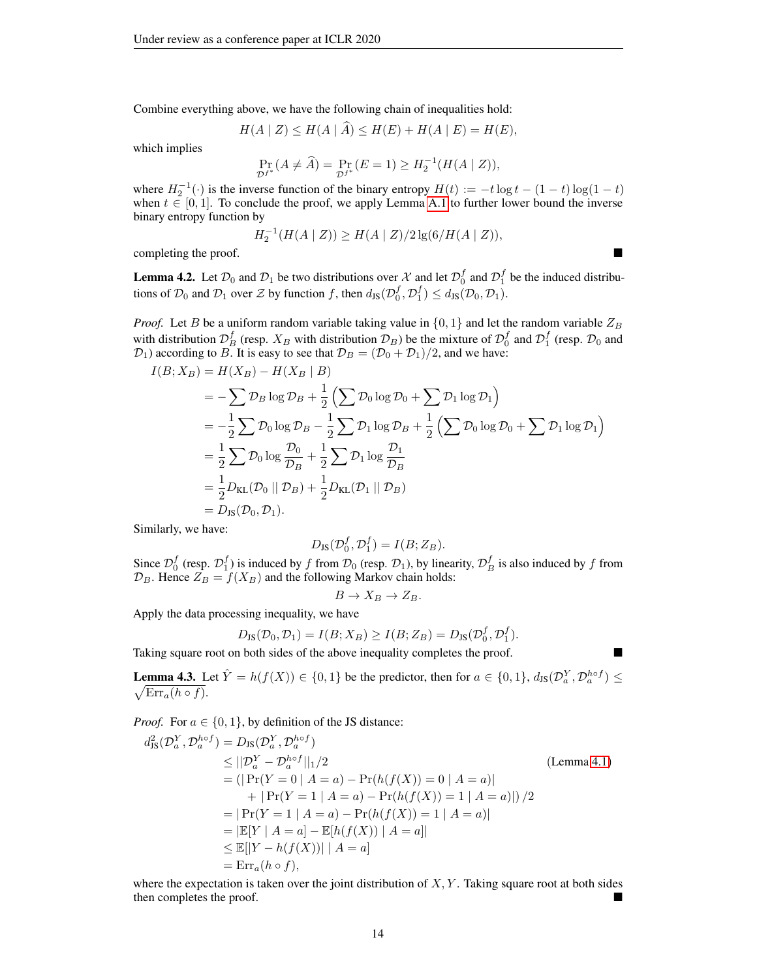Combine everything above, we have the following chain of inequalities hold:

$$
H(A | Z) \le H(A | A) \le H(E) + H(A | E) = H(E),
$$

which implies

$$
\Pr_{\mathcal{D}f^*}(A \neq \widehat{A}) = \Pr_{\mathcal{D}f^*}(E = 1) \ge H_2^{-1}(H(A \mid Z)),
$$

where  $H_2^{-1}(\cdot)$  is the inverse function of the binary entropy  $H(t) := -t \log t - (1-t) \log(1-t)$ when  $t \in [0, 1]$ . To conclude the proof, we apply Lemma [A.1](#page-11-0) to further lower bound the inverse binary entropy function by

$$
H_2^{-1}(H(A \mid Z)) \ge H(A \mid Z)/2 \lg(6/H(A \mid Z)),
$$

completing the proof.

**Lemma 4.2.** Let  $\mathcal{D}_0$  and  $\mathcal{D}_1$  be two distributions over  $\mathcal{X}$  and let  $\mathcal{D}_0^f$  and  $\mathcal{D}_1^f$  be the induced distributions of  $\mathcal{D}_0$  and  $\mathcal{D}_1$  over  $\mathcal Z$  by function f, then  $d_{\text{JS}}(\mathcal{D}_0^f, \mathcal{D}_1^f) \leq d_{\text{JS}}(\mathcal{D}_0, \mathcal{D}_1)$ .

*Proof.* Let B be a uniform random variable taking value in  $\{0, 1\}$  and let the random variable  $Z_B$ with distribution  $\mathcal{D}_{B}^{f}$  (resp.  $X_{B}$  with distribution  $\mathcal{D}_{B}$ ) be the mixture of  $\mathcal{D}_{0}^{f}$  and  $\mathcal{D}_{1}^{f}$  (resp.  $\mathcal{D}_{0}$  and  $D_1$ ) according to B. It is easy to see that  $D_B = (D_0 + D_1)/2$ , and we have:

$$
I(B; X_B) = H(X_B) - H(X_B | B)
$$
  
=  $-\sum \mathcal{D}_B \log \mathcal{D}_B + \frac{1}{2} (\sum \mathcal{D}_0 \log \mathcal{D}_0 + \sum \mathcal{D}_1 \log \mathcal{D}_1)$   
=  $-\frac{1}{2} \sum \mathcal{D}_0 \log \mathcal{D}_B - \frac{1}{2} \sum \mathcal{D}_1 \log \mathcal{D}_B + \frac{1}{2} (\sum \mathcal{D}_0 \log \mathcal{D}_0 + \sum \mathcal{D}_1 \log \mathcal{D}_1)$   
=  $\frac{1}{2} \sum \mathcal{D}_0 \log \frac{\mathcal{D}_0}{\mathcal{D}_B} + \frac{1}{2} \sum \mathcal{D}_1 \log \frac{\mathcal{D}_1}{\mathcal{D}_B}$   
=  $\frac{1}{2} D_{KL}(\mathcal{D}_0 || \mathcal{D}_B) + \frac{1}{2} D_{KL}(\mathcal{D}_1 || \mathcal{D}_B)$   
=  $D_{JS}(\mathcal{D}_0, \mathcal{D}_1).$ 

Similarly, we have:

$$
D_{\text{JS}}(\mathcal{D}_0^f, \mathcal{D}_1^f) = I(B; Z_B).
$$

Since  $\mathcal{D}_0^f$  (resp.  $\mathcal{D}_1^f$ ) is induced by f from  $\mathcal{D}_0$  (resp.  $\mathcal{D}_1$ ), by linearity,  $\mathcal{D}_B^f$  is also induced by f from  $\mathcal{D}_B$ . Hence  $Z_B = f(X_B)$  and the following Markov chain holds:

$$
B \to X_B \to Z_B.
$$

Apply the data processing inequality, we have

$$
D_{\text{JS}}(\mathcal{D}_0, \mathcal{D}_1) = I(B; X_B) \ge I(B; Z_B) = D_{\text{JS}}(\mathcal{D}_0^f, \mathcal{D}_1^f).
$$

Taking square root on both sides of the above inequality completes the proof.

**Lemma 4.3.** Let  $\hat{Y} = h(f(X)) \in \{0, 1\}$  be the predictor, then for  $a \in \{0, 1\}$ ,  $d_{\text{JS}}(\mathcal{D}_a^Y, \mathcal{D}_a^{h \circ f}) \le \sqrt{\text{Err}_a(h \circ f)}$ .  $\sqrt{\text{Err}_a(h \circ f)}.$ 

*Proof.* For  $a \in \{0, 1\}$ , by definition of the JS distance:

$$
d_{\text{JS}}^{2}(\mathcal{D}_{a}^{Y}, \mathcal{D}_{a}^{hof}) = D_{\text{JS}}(\mathcal{D}_{a}^{Y}, \mathcal{D}_{a}^{hof})
$$
\n
$$
\leq ||\mathcal{D}_{a}^{Y} - \mathcal{D}_{a}^{hof}||_{1}/2
$$
\n
$$
= (|\Pr(Y = 0 | A = a) - \Pr(h(f(X)) = 0 | A = a)| + |\Pr(Y = 1 | A = a) - \Pr(h(f(X)) = 1 | A = a)|)/2
$$
\n
$$
= |\Pr(Y = 1 | A = a) - \Pr(h(f(X)) = 1 | A = a)|
$$
\n
$$
= |\mathbb{E}[Y | A = a] - \mathbb{E}[h(f(X)) | A = a]|
$$
\n
$$
\leq \mathbb{E}[|Y - h(f(X))| | A = a]
$$
\n
$$
= \mathbb{E}[\mathbb{E}[X] - \mathbb{E}[h(f(X)) | A = a]
$$
\n
$$
= \mathbb{E}[\mathbb{E}[X] - \mathbb{E}[h(f(X)) | A = a]
$$

where the expectation is taken over the joint distribution of  $X, Y$ . Taking square root at both sides then completes the proof.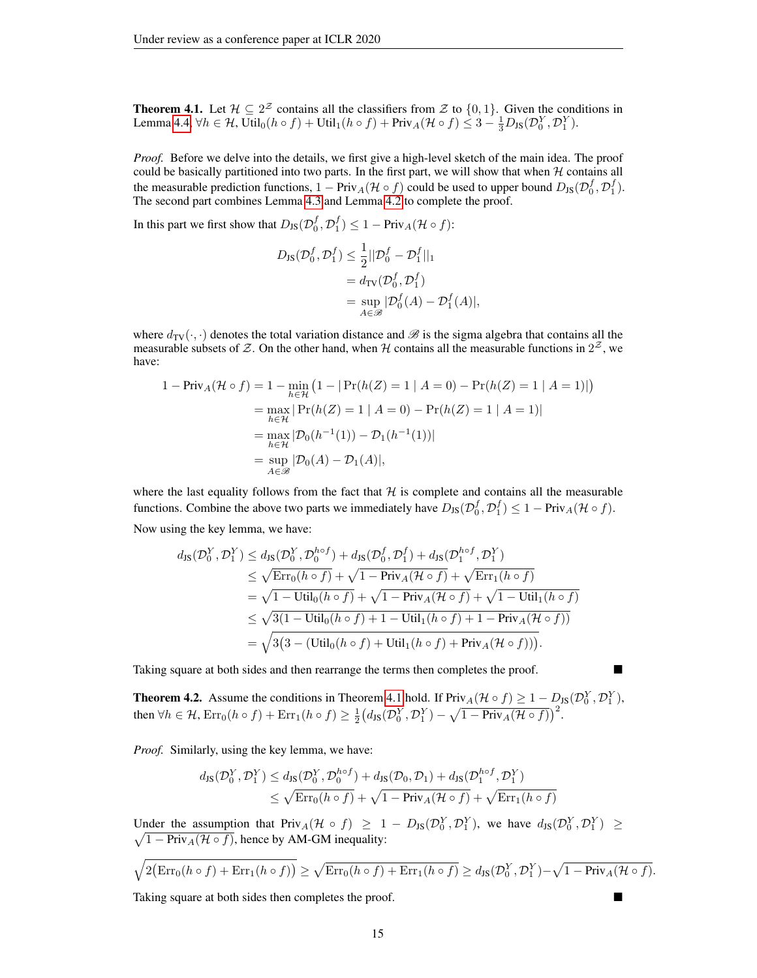**Theorem 4.1.** Let  $\mathcal{H} \subseteq 2^{\mathcal{Z}}$  contains all the classifiers from  $\mathcal{Z}$  to  $\{0,1\}$ . Given the conditions in Lemma [4.4,](#page-5-2)  $\forall h \in \mathcal{H}$ , Util<sub>0</sub> $(h \circ f) +$  Util<sub>1</sub> $(h \circ f) +$ Priv<sub>A</sub> $(\mathcal{H} \circ f) \leq 3 - \frac{1}{3}D_{JS}(\mathcal{D}_0^Y, \mathcal{D}_1^Y)$ .

*Proof.* Before we delve into the details, we first give a high-level sketch of the main idea. The proof could be basically partitioned into two parts. In the first part, we will show that when  $H$  contains all the measurable prediction functions,  $1 - \text{Priv}_A(\mathcal{H} \circ f)$  could be used to upper bound  $D_{\text{JS}}(\mathcal{D}_0^f, \mathcal{D}_1^f)$ . The second part combines Lemma [4.3](#page-5-1) and Lemma [4.2](#page-5-0) to complete the proof.

In this part we first show that  $D_{JS}(\mathcal{D}_0^f, \mathcal{D}_1^f) \leq 1 - \text{Priv}_A(\mathcal{H} \circ f)$ :

$$
D_{\text{JS}}(\mathcal{D}_0^f, \mathcal{D}_1^f) \le \frac{1}{2} ||\mathcal{D}_0^f - \mathcal{D}_1^f||_1
$$
  
=  $d_{\text{TV}}(\mathcal{D}_0^f, \mathcal{D}_1^f)$   
=  $\sup_{A \in \mathcal{B}} |\mathcal{D}_0^f(A) - \mathcal{D}_1^f(A)|,$ 

where  $d_{TV}(\cdot, \cdot)$  denotes the total variation distance and  $\mathscr B$  is the sigma algebra that contains all the measurable subsets of Z. On the other hand, when H contains all the measurable functions in  $2^{\mathcal{Z}}$ , we have:

$$
1 - \text{Priv}_A(\mathcal{H} \circ f) = 1 - \min_{h \in \mathcal{H}} (1 - |\Pr(h(Z) = 1 | A = 0) - \Pr(h(Z) = 1 | A = 1)|)
$$
  
= 
$$
\max_{h \in \mathcal{H}} |\Pr(h(Z) = 1 | A = 0) - \Pr(h(Z) = 1 | A = 1)|
$$
  
= 
$$
\max_{h \in \mathcal{H}} |\mathcal{D}_0(h^{-1}(1)) - \mathcal{D}_1(h^{-1}(1))|
$$
  
= 
$$
\sup_{A \in \mathcal{B}} |\mathcal{D}_0(A) - \mathcal{D}_1(A)|,
$$

where the last equality follows from the fact that  $H$  is complete and contains all the measurable functions. Combine the above two parts we immediately have  $D_{JS}(\mathcal{D}_0^f, \mathcal{D}_1^f) \leq 1 - \text{Priv}_A(\mathcal{H} \circ f)$ . Now using the key lemma, we have:

$$
d_{\text{JS}}(\mathcal{D}_{0}^{Y}, \mathcal{D}_{1}^{Y}) \leq d_{\text{JS}}(\mathcal{D}_{0}^{Y}, \mathcal{D}_{0}^{ho f}) + d_{\text{JS}}(\mathcal{D}_{0}^{f}, \mathcal{D}_{1}^{f}) + d_{\text{JS}}(\mathcal{D}_{1}^{ho f}, \mathcal{D}_{1}^{Y})
$$
  
\n
$$
\leq \sqrt{\text{Err}_{0}(h \circ f)} + \sqrt{1 - \text{Priv}_{A}(\mathcal{H} \circ f)} + \sqrt{\text{Err}_{1}(h \circ f)}
$$
  
\n
$$
= \sqrt{1 - \text{Util}_{0}(h \circ f)} + \sqrt{1 - \text{Priv}_{A}(\mathcal{H} \circ f)} + \sqrt{1 - \text{Util}_{1}(h \circ f)}
$$
  
\n
$$
\leq \sqrt{3(1 - \text{Util}_{0}(h \circ f) + 1 - \text{Util}_{1}(h \circ f) + 1 - \text{Priv}_{A}(\mathcal{H} \circ f))}
$$
  
\n
$$
= \sqrt{3(3 - (\text{Util}_{0}(h \circ f) + \text{Util}_{1}(h \circ f) + \text{Priv}_{A}(\mathcal{H} \circ f)))}.
$$

Taking square at both sides and then rearrange the terms then completes the proof.

**Theorem 4.2.** Assume the conditions in Theorem [4.1](#page-5-3) hold. If  $\text{Priv}_A(\mathcal{H} \circ f) \geq 1 - D_{\text{JS}}(\mathcal{D}_0^Y, \mathcal{D}_1^Y)$ , then  $\forall h \in \mathcal{H}$ ,  $\text{Err}_0(h \circ f) + \text{Err}_1(h \circ f) \geq \frac{1}{2} (d_{\text{JS}}(\mathcal{D}_0^Y, \mathcal{D}_1^Y) - \sqrt{1 - \text{Priv}_A(\mathcal{H} \circ f)})^2$ .

*Proof.* Similarly, using the key lemma, we have:  $\sim$ 

$$
d_{\text{JS}}(\mathcal{D}_0^Y, \mathcal{D}_1^Y) \leq d_{\text{JS}}(\mathcal{D}_0^Y, \mathcal{D}_0^{h \circ f}) + d_{\text{JS}}(\mathcal{D}_0, \mathcal{D}_1) + d_{\text{JS}}(\mathcal{D}_1^{h \circ f}, \mathcal{D}_1^Y)
$$
  

$$
\leq \sqrt{\text{Err}_0(h \circ f)} + \sqrt{1 - \text{Priv}_A(\mathcal{H} \circ f)} + \sqrt{\text{Err}_1(h \circ f)}
$$

Under the assumption that  $Priv_A(\mathcal{H} \circ f) \geq 1 - D_{JS}(\mathcal{D}_0^Y, \mathcal{D}_1^Y)$ , we have  $d_{JS}(\mathcal{D}_0^Y, \mathcal{D}_1^Y) \geq$  $\sqrt{1 - \text{Priv}_A(\mathcal{H} \circ f)}$ , hence by AM-GM inequality:

$$
\sqrt{2\big(\text{Err}_0(h\circ f) + \text{Err}_1(h\circ f)\big)} \ge \sqrt{\text{Err}_0(h\circ f) + \text{Err}_1(h\circ f)} \ge d_{\text{JS}}(\mathcal{D}_0^Y, \mathcal{D}_1^Y) - \sqrt{1 - \text{Priv}_A(\mathcal{H}\circ f)}.
$$

Taking square at both sides then completes the proof.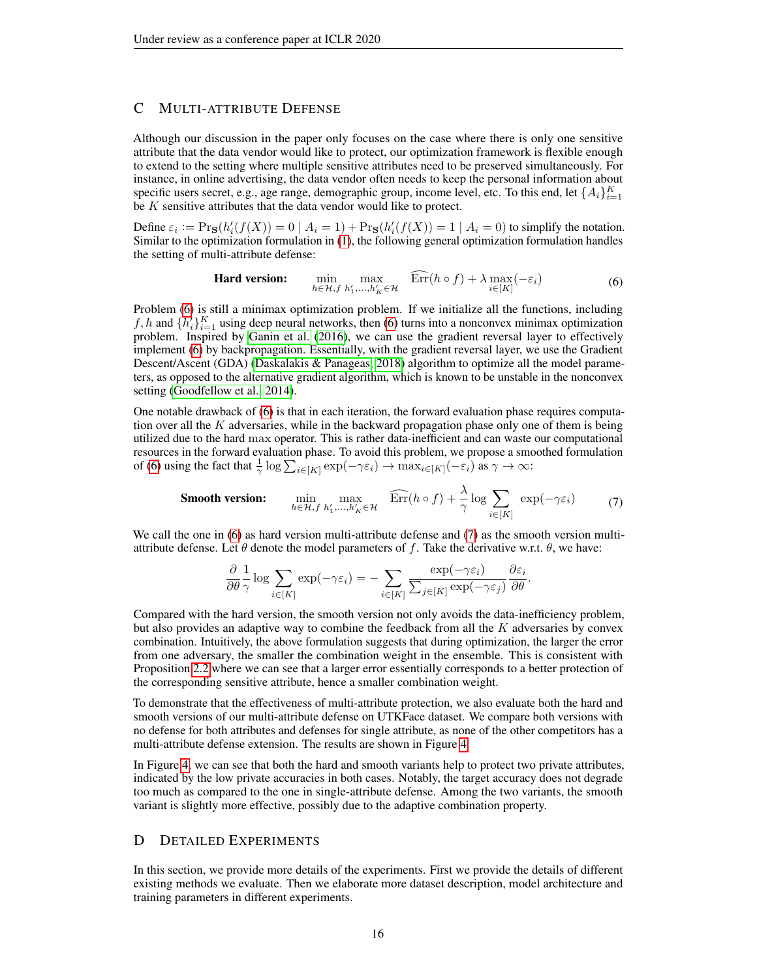# <span id="page-15-0"></span>C MULTI-ATTRIBUTE DEFENSE

Although our discussion in the paper only focuses on the case where there is only one sensitive attribute that the data vendor would like to protect, our optimization framework is flexible enough to extend to the setting where multiple sensitive attributes need to be preserved simultaneously. For instance, in online advertising, the data vendor often needs to keep the personal information about specific users secret, e.g., age range, demographic group, income level, etc. To this end, let  $\{A_i\}_{i=1}^K$ be K sensitive attributes that the data vendor would like to protect.

Define  $\varepsilon_i := \Pr_{\mathbf{S}}(h'_i(f(X)) = 0 \mid A_i = 1) + \Pr_{\mathbf{S}}(h'_i(f(X)) = 1 \mid A_i = 0)$  to simplify the notation. Similar to the optimization formulation in [\(1\)](#page-3-0), the following general optimization formulation handles the setting of multi-attribute defense:

<span id="page-15-2"></span>**Hard version:** 
$$
\min_{h \in \mathcal{H}, f} \max_{h'_1, \dots, h'_K \in \mathcal{H}} \widehat{\text{Err}}(h \circ f) + \lambda \max_{i \in [K]} (-\varepsilon_i)
$$
(6)

Problem [\(6\)](#page-15-2) is still a minimax optimization problem. If we initialize all the functions, including f, h and  $\{h'_i\}_{i=1}^K$  using deep neural networks, then [\(6\)](#page-15-2) turns into a nonconvex minimax optimization problem. Inspired by [Ganin et al.](#page-10-10) [\(2016\)](#page-10-10), we can use the gradient reversal layer to effectively implement [\(6\)](#page-15-2) by backpropagation. Essentially, with the gradient reversal layer, we use the Gradient Descent/Ascent (GDA) [\(Daskalakis & Panageas, 2018\)](#page-9-17) algorithm to optimize all the model parameters, as opposed to the alternative gradient algorithm, which is known to be unstable in the nonconvex setting [\(Goodfellow et al., 2014\)](#page-10-14).

One notable drawback of [\(6\)](#page-15-2) is that in each iteration, the forward evaluation phase requires computation over all the  $K$  adversaries, while in the backward propagation phase only one of them is being utilized due to the hard max operator. This is rather data-inefficient and can waste our computational resources in the forward evaluation phase. To avoid this problem, we propose a smoothed formulation of [\(6\)](#page-15-2) using the fact that  $\frac{1}{\gamma} \log \sum_{i \in [K]} \exp(-\gamma \varepsilon_i) \to \max_{i \in [K]} (-\varepsilon_i)$  as  $\gamma \to \infty$ :

**Smooth version:** 
$$
\min_{h \in \mathcal{H}, f} \max_{h'_1, \dots, h'_K \in \mathcal{H}} \widehat{\text{Err}}(h \circ f) + \frac{\lambda}{\gamma} \log \sum_{i \in [K]} \exp(-\gamma \varepsilon_i)
$$
(7)

We call the one in [\(6\)](#page-15-2) as hard version multi-attribute defense and [\(7\)](#page-15-3) as the smooth version multiattribute defense. Let  $\theta$  denote the model parameters of f. Take the derivative w.r.t.  $\theta$ , we have:

<span id="page-15-3"></span>
$$
\frac{\partial}{\partial \theta} \frac{1}{\gamma} \log \sum_{i \in [K]} \exp(-\gamma \varepsilon_i) = - \sum_{i \in [K]} \frac{\exp(-\gamma \varepsilon_i)}{\sum_{j \in [K]} \exp(-\gamma \varepsilon_j)} \frac{\partial \varepsilon_i}{\partial \theta}.
$$

Compared with the hard version, the smooth version not only avoids the data-inefficiency problem, but also provides an adaptive way to combine the feedback from all the  $K$  adversaries by convex combination. Intuitively, the above formulation suggests that during optimization, the larger the error from one adversary, the smaller the combination weight in the ensemble. This is consistent with Proposition [2.2](#page-2-2) where we can see that a larger error essentially corresponds to a better protection of the corresponding sensitive attribute, hence a smaller combination weight.

To demonstrate that the effectiveness of multi-attribute protection, we also evaluate both the hard and smooth versions of our multi-attribute defense on UTKFace dataset. We compare both versions with no defense for both attributes and defenses for single attribute, as none of the other competitors has a multi-attribute defense extension. The results are shown in Figure [4.](#page-16-0)

In Figure [4,](#page-16-0) we can see that both the hard and smooth variants help to protect two private attributes, indicated by the low private accuracies in both cases. Notably, the target accuracy does not degrade too much as compared to the one in single-attribute defense. Among the two variants, the smooth variant is slightly more effective, possibly due to the adaptive combination property.

# <span id="page-15-1"></span>D DETAILED EXPERIMENTS

In this section, we provide more details of the experiments. First we provide the details of different existing methods we evaluate. Then we elaborate more dataset description, model architecture and training parameters in different experiments.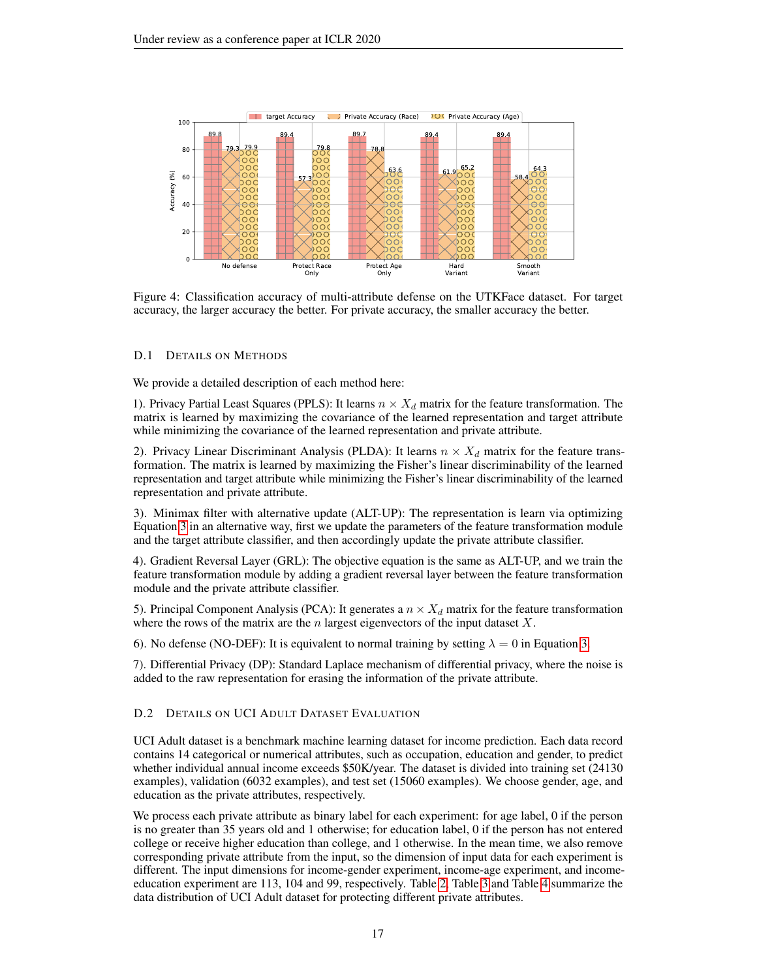<span id="page-16-0"></span>

Figure 4: Classification accuracy of multi-attribute defense on the UTKFace dataset. For target accuracy, the larger accuracy the better. For private accuracy, the smaller accuracy the better.

### D.1 DETAILS ON METHODS

We provide a detailed description of each method here:

1). Privacy Partial Least Squares (PPLS): It learns  $n \times X_d$  matrix for the feature transformation. The matrix is learned by maximizing the covariance of the learned representation and target attribute while minimizing the covariance of the learned representation and private attribute.

2). Privacy Linear Discriminant Analysis (PLDA): It learns  $n \times X_d$  matrix for the feature transformation. The matrix is learned by maximizing the Fisher's linear discriminability of the learned representation and target attribute while minimizing the Fisher's linear discriminability of the learned representation and private attribute.

3). Minimax filter with alternative update (ALT-UP): The representation is learn via optimizing Equation [3](#page-3-1) in an alternative way, first we update the parameters of the feature transformation module and the target attribute classifier, and then accordingly update the private attribute classifier.

4). Gradient Reversal Layer (GRL): The objective equation is the same as ALT-UP, and we train the feature transformation module by adding a gradient reversal layer between the feature transformation module and the private attribute classifier.

5). Principal Component Analysis (PCA): It generates a  $n \times X_d$  matrix for the feature transformation where the rows of the matrix are the  $n$  largest eigenvectors of the input dataset  $X$ .

6). No defense (NO-DEF): It is equivalent to normal training by setting  $\lambda = 0$  in Equation [3.](#page-3-1)

7). Differential Privacy (DP): Standard Laplace mechanism of differential privacy, where the noise is added to the raw representation for erasing the information of the private attribute.

### D.2 DETAILS ON UCI ADULT DATASET EVALUATION

UCI Adult dataset is a benchmark machine learning dataset for income prediction. Each data record contains 14 categorical or numerical attributes, such as occupation, education and gender, to predict whether individual annual income exceeds \$50K/year. The dataset is divided into training set (24130 examples), validation (6032 examples), and test set (15060 examples). We choose gender, age, and education as the private attributes, respectively.

We process each private attribute as binary label for each experiment: for age label, 0 if the person is no greater than 35 years old and 1 otherwise; for education label, 0 if the person has not entered college or receive higher education than college, and 1 otherwise. In the mean time, we also remove corresponding private attribute from the input, so the dimension of input data for each experiment is different. The input dimensions for income-gender experiment, income-age experiment, and incomeeducation experiment are 113, 104 and 99, respectively. Table [2,](#page-17-0) Table [3](#page-17-0) and Table [4](#page-17-0) summarize the data distribution of UCI Adult dataset for protecting different private attributes.